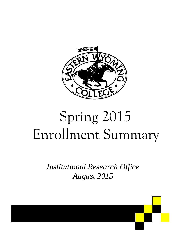

# Spring 2015 Enrollment Summary

*Institutional Research Office August 2015*

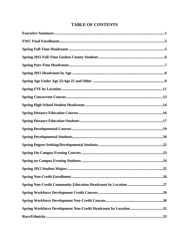# **TABLE OF CONTENTS**

|                                                                  | .25 |
|------------------------------------------------------------------|-----|
|                                                                  |     |
|                                                                  |     |
|                                                                  |     |
|                                                                  |     |
| Spring Workforce Development Non-Credit Headcount by Location 31 |     |
|                                                                  |     |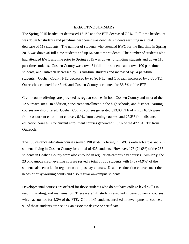#### EXECUTIVE SUMMARY

The Spring 2015 headcount decreased 15.1% and the FTE decreased 7.9%. Full-time headcount was down 67 students and part-time headcount was down 46 students resulting in a total decrease of 113 students. The number of students who attended EWC for the first time in Spring 2015 was down 46 full-time students and up 64 part-time students. The number of students who had attended EWC anytime prior to Spring 2015 was down 46 full-time students and down 110 part-time students. Goshen County was down 54 full-time students and down 100 part-time students, and Outreach decreased by 13 full-time students and increased by 54 part-time students. Goshen County FTE decreased by 95.96 FTE, and Outreach increased by 2.08 FTE. Outreach accounted for 43.4% and Goshen County accounted for 56.6% of the FTE.

Credit course offerings are provided as regular courses in both Goshen County and most of the 12 outreach sites. In addition, concurrent enrollment in the high schools, and distance learning courses are also offered. Goshen County courses generated 623.08 FTE of which 6.7% were from concurrent enrollment courses, 6.9% from evening courses, and 27.2% from distance education courses. Concurrent enrollment courses generated 51.7% of the 477.84 FTE from Outreach.

The 130 distance education courses served 190 students living in EWC's outreach areas and 235 students living in Goshen County for a total of 425 students. However, 176 (74.9%) of the 235 students in Goshen County were also enrolled in regular on-campus day courses. Similarly, the 23 on-campus credit evening courses served a total of 235 students with 176 (74.9%) of the students also enrolled in regular on-campus day courses. Distance education courses meet the needs of busy working adults and also regular on-campus students.

Developmental courses are offered for those students who do not have college level skills in reading, writing, and mathematics. There were 141 students enrolled in developmental courses, which accounted for 4.3% of the FTE. Of the 141 students enrolled in developmental courses, 91 of those students are seeking an associate degree or certificate.

1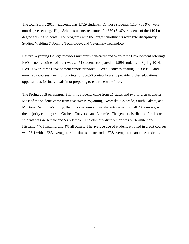The total Spring 2015 headcount was 1,729 students. Of those students, 1,104 (63.9%) were non-degree seeking. High School students accounted for 680 (61.6%) students of the 1104 nondegree seeking students. The programs with the largest enrollments were Interdisciplinary Studies, Welding & Joining Technology, and Veterinary Technology.

Eastern Wyoming College provides numerous non-credit and Workforce Development offerings. EWC's non-credit enrollment was 2,474 students compared to 2,594 students in Spring 2014. EWC's Workforce Development efforts provided 65 credit courses totaling 130.08 FTE and 29 non-credit courses meeting for a total of 686.50 contact hours to provide further educational opportunities for individuals in or preparing to enter the workforce.

The Spring 2015 on-campus, full-time students came from 21 states and two foreign countries. Most of the students came from five states: Wyoming, Nebraska, Colorado, South Dakota, and Montana. Within Wyoming, the full-time, on-campus students came from all 23 counties, with the majority coming from Goshen, Converse, and Laramie. The gender distribution for all credit students was 42% male and 58% female. The ethnicity distribution was 89% white non-Hispanic, 7% Hispanic, and 4% all others. The average age of students enrolled in credit courses was 26.1 with a 22.3 average for full-time students and a 27.8 average for part-time students.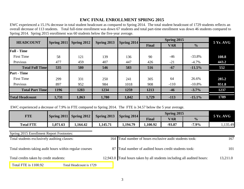# **EWC FINAL ENROLLMENT SPRING 2015**

EWC experienced a 15.1% decrease in total student headcount as compared to Spring 2014. The total student headcount of 1729 students reflects an overall decrease of 113 students. Total full-time enrollment was down 67 students and total part-time enrollment was down 46 students compared to Spring 2014. Spring 2015 enrollment was 60 students below the five-year average.

|                        | <b>HEADCOUNT</b><br>Spring 2012<br>Spring 2013<br><b>Spring 2011</b> |       |       | Spring 2014 |              | Spring 2015 |               | <b>5 Yr. AVG</b> |  |
|------------------------|----------------------------------------------------------------------|-------|-------|-------------|--------------|-------------|---------------|------------------|--|
|                        |                                                                      |       |       |             | <b>Final</b> | <b>VAR</b>  | $\frac{0}{0}$ |                  |  |
| <b>Full</b> - Time     |                                                                      |       |       |             |              |             |               |                  |  |
| <b>First Time</b>      | 58                                                                   | 121   | 139   | 136         | 90           | -46         | $-33.8%$      | 108.8            |  |
| Previous               | 477                                                                  | 459   | 407   | 447         | 426          | $-21$       | $-4.7\%$      | 443.2            |  |
| <b>Total Full Time</b> | 535                                                                  | 580   | 546   | 583         | 516          | $-67$       | $-11.5%$      | 552              |  |
| <b>Part</b> - Time     |                                                                      |       |       |             |              |             |               |                  |  |
| <b>First Time</b>      | 299                                                                  | 331   | 250   | 241         | 305          | 64          | 26.6%         | 285.2            |  |
| Previous               | 897                                                                  | 952   | 984   | 1018        | 908          | $-110$      | $-10.8%$      | 951.8            |  |
| <b>Total Part Time</b> | 1196                                                                 | 1283  | 1234  | 1259        | 1213         | $-46$       | $-3.7%$       | 1237             |  |
| <b>Total Headcount</b> | 1,731                                                                | 1,863 | 1,780 | 1,842       | 1,729        | $-113$      | $-15.1%$      | 1789             |  |

EWC experienced a decrease of 7.9% in FTE compared to Spring 2014. The FTE is 34.57 below the 5 year average.

| FTE              |         | <b>Spring 2011</b> Spring 2012 | Spring 2013 | Spring 2014 |              | $5Yr.$ AVG |               |        |
|------------------|---------|--------------------------------|-------------|-------------|--------------|------------|---------------|--------|
|                  |         |                                |             |             | <b>Final</b> | <b>VAR</b> | $\frac{0}{0}$ |        |
| <b>Total FTE</b> | .071.63 | 1,164.42                       | 1,145.71    | 1,194.79    | 1,100.92     | $-93.87$   | $-7.9%$       | 135.49 |

Spring 2015 Enrollment Report Footnotes:

| Total students exclusively auditing classes:              |                         |  | 164 Total number of hours exclusive audit students took:                | 167      |
|-----------------------------------------------------------|-------------------------|--|-------------------------------------------------------------------------|----------|
| Total students taking audit hours within regular courses: |                         |  | 87 Total number of audited hours credit students took:                  | 101      |
| Total credits taken by credit students:                   |                         |  | 12,943.0 Total hours taken by all students including all audited hours: | 13,211.0 |
| Total FTE is 1100.92                                      | Total Headcount is 1729 |  |                                                                         |          |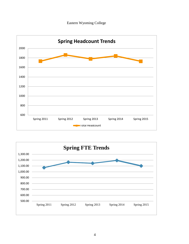



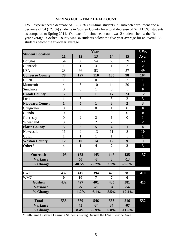#### **SPRING FULL-TIME HEADCOUNT**

EWC experienced a decrease of 13 (8.8%) full-time students in Outreach enrollment and a decrease of 54 (12.4%) students in Goshen County for a total decrease of 67 (11.5%) students as compared to Spring 2014. Outreach full-time headcount was 2 students below the fiveyear average. Goshen County was 34 students below the five-year average for an overall 36 students below the five-year average.

|                         |                         |                  | Year                    |                         |                  | 5 Yr.                   |
|-------------------------|-------------------------|------------------|-------------------------|-------------------------|------------------|-------------------------|
| <b>Student Location</b> | 11                      | 12               | 13                      | 14                      | 15               | Avg.                    |
| Douglas                 | 54                      | 60               | 54                      | 60                      | 39               | 53                      |
| Glenrock                | $\mathbf{1}$            | $\mathbf{1}$     | 3                       | $\mathbf{1}$            | $\overline{2}$   | $\overline{2}$          |
| <b>LEA</b>              | 23                      | 66               | 53                      | 44                      | 57               | 49                      |
| <b>Converse County</b>  | 78                      | 127              | 110                     | 105                     | 98               | 104                     |
| Hulett                  | $\mathbf{1}$            | $\overline{0}$   | $\boldsymbol{0}$        | 3                       | $\overline{2}$   | $\mathbf{1}$            |
| Moorcroft               | $\overline{4}$          | $\overline{5}$   | 10                      | 14                      | 20               | 11                      |
| Sundance                | $\boldsymbol{0}$        | $\boldsymbol{0}$ | $\mathbf{1}$            | $\overline{0}$          | $\mathbf{1}$     | $\bf{0}$                |
| <b>Crook County</b>     | 5                       | 5                | 11                      | 17                      | 23               | 12                      |
| Lusk                    | $\mathbf{1}$            | 5                | $\mathbf{1}$            | 8                       | $\overline{2}$   | $\overline{\mathbf{3}}$ |
| <b>Niobrara County</b>  | $\mathbf{1}$            | 5                | $\mathbf{1}$            | 8                       | $\overline{2}$   | $\overline{\mathbf{3}}$ |
| Chugwater               | $\boldsymbol{0}$        | $\boldsymbol{0}$ | $\boldsymbol{0}$        | $\mathbf{1}$            | $\overline{0}$   | $\boldsymbol{0}$        |
| Glendo                  | $\overline{0}$          | $\overline{0}$   | $\mathbf{1}$            | $\boldsymbol{0}$        | $\overline{0}$   | $\boldsymbol{0}$        |
| Guernsey                | $\overline{0}$          | $\overline{2}$   | $\overline{2}$          | $\mathbf{1}$            | $\overline{0}$   | $\mathbf{1}$            |
| Wheatland               | 3                       | 3                | $\overline{2}$          | $\overline{2}$          | $\mathbf{1}$     | $\overline{2}$          |
| <b>Platte County</b>    | $\overline{\mathbf{3}}$ | 5                | $\overline{\mathbf{5}}$ | $\overline{\mathbf{4}}$ | $\mathbf{1}$     | $\overline{\mathbf{4}}$ |
| Newcastle               | 11                      | 9                | 13                      | 11                      | 8                | 10                      |
| Upton                   | $\mathbf{1}$            | $\mathbf{1}$     | $\mathbf{1}$            | $\mathbf{1}$            | $\mathbf{1}$     | 1                       |
| <b>Weston County</b>    | 12                      | 10               | 14                      | 12                      | 9                | 11                      |
| Other*                  | $\overline{\mathbf{4}}$ | $\mathbf{1}$     | $\overline{\mathbf{4}}$ | $\overline{2}$          | $\overline{2}$   | $\overline{\mathbf{3}}$ |
|                         |                         |                  |                         |                         |                  |                         |
| <b>Outreach</b>         | 103                     | 153              | 145                     | 148                     | 135              | 137                     |
| <b>Variance</b>         |                         | 50               | $-8$                    | $\overline{\mathbf{3}}$ | $-13$            |                         |
| % Change                |                         | 48.5%            | $-5.2%$                 | 2.1%                    | $-8.8%$          |                         |
|                         |                         |                  |                         |                         |                  |                         |
| <b>EWC</b>              | 432                     | 417              | 394                     | 428                     | 381              | 410                     |
| <b>WMC</b>              | $\bf{0}$                | 10               | $\overline{7}$          | $\overline{7}$          | $\boldsymbol{0}$ |                         |
| Goshen                  | 432                     | 427              | 401                     | 435                     | 381              | 415                     |
| <b>Variance</b>         |                         | $-5$             | $-26$                   | 34                      | $-54$            |                         |
| % Change                |                         | $-1.2%$          | $-6.1%$                 | 8.5%                    | $-12.4%$         |                         |
|                         |                         |                  |                         |                         |                  |                         |
| <b>Total</b>            | 535                     | 580              | 546                     | 583                     | 516              | 552                     |
| <b>Variance</b>         |                         | 45               | $-34$                   | 37                      | $-67$            |                         |
| % Change                |                         | 8.4%             | $-5.9\%$                | 6.8%                    | $-11.5%$         |                         |

\* Full-Time Distance Learning Students Living Outside the EWC Service Area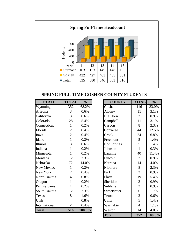

**SPRING FULL-TIME GOSHEN COUNTY STUDENTS**

| <b>STATE</b>      | <b>TOTAL</b>   | $\frac{0}{0}$ | <b>COUNTY</b>      | <b>TOTAL</b>   | $\frac{0}{0}$ |
|-------------------|----------------|---------------|--------------------|----------------|---------------|
| Wyoming           | 352            | 68.2%         | Goshen             | 116            | 33.0%         |
| Arizona           | 3              | 0.6%          | Albany             | 11             | 3.1%          |
| California        | $\overline{3}$ | 0.6%          | <b>Big Horn</b>    | $\overline{3}$ | 0.9%          |
| Colorado          | 28             | 5.4%          | Campbell           | 11             | 3.1%          |
| Connecticut       | $\mathbf{1}$   | 0.2%          | Carbon             | 8              | 2.3%          |
| Florida           | $\overline{2}$ | 0.4%          | Converse           | 44             | 12.5%         |
| Iowa              | $\overline{2}$ | 0.4%          | Crook              | 24             | 6.8%          |
| Idaho             | $\mathbf{1}$   | 0.2%          | Freemont           | 5              | 1.4%          |
| <b>Illinois</b>   | $\overline{3}$ | 0.6%          | <b>Hot Springs</b> | 5              | 1.4%          |
| Indiana           | 1              | 0.2%          | Johnson            | $\mathbf{1}$   | 0.3%          |
| Minnesota         | 1              | 0.2%          | Laramie            | 40             | 11.4%         |
| Montana           | 12             | 2.3%          | Lincoln            | 3              | 0.9%          |
| Nebraska          | 72             | 14.0%         | Natrona            | 14             | 4.0%          |
| <b>New Mexico</b> | 1              | 0.2%          | Niobrara           | 8              | 2.3%          |
| New York          | $\overline{2}$ | 0.4%          | Park               | 3              | 0.9%          |
| North Dakota      | $\overline{4}$ | 0.8%          | Platte             | 19             | 5.4%          |
| Oregon            | 1              | 0.2%          | Sheridan           | 3              | 0.9%          |
| Pennsylvania      | 1              | 0.2%          | Sublette           | 3              | 0.9%          |
| South Dakota      | 12             | 2.3%          | Sweetwater         | 6              | 1.7%          |
| Texas             | 8              | 1.6%          | Teton              | $\overline{2}$ | 0.6%          |
| Utah              | $\overline{4}$ | 0.8%          | Uinta              | 5              | 1.4%          |
| International     | $\overline{2}$ | 0.4%          | Washakie           | $\overline{4}$ | 1.1%          |
| <b>Total</b>      | 516            | $100.0\%$     | Weston             | 14             | 4.0%          |
|                   |                |               | <b>Total</b>       | 352            | 100.0%        |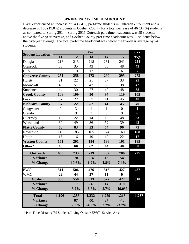#### **SPRING PART-TIME HEADCOUNT**

EWC experienced an increase of 54 (7.4%) part-time students in Outreach enrollment and a decrease of 100 (19.0%) students in Goshen County for a total decrease of 46 (3.7%) students as compared to Spring 2014. Spring 2015 Outreach part-time headcount was 59 students above the five-year average, and Goshen County part-time headcount was 83 students below the five-year average. The total part-time headcount was below the five-year average by 24 students.

| <b>Student Location</b> |                |       | Year           |              |                | 5 Yr.          |
|-------------------------|----------------|-------|----------------|--------------|----------------|----------------|
|                         | 11             | 12    | 13             | 14           | 15             | Avg.           |
| Douglas                 | 218            | 213   | 218            | 231          | 241            | 224            |
| Glenrock                | 33             | 35    | 43             | 50           | 48             | 42             |
| <b>LEA</b>              | $\overline{0}$ | 10    | 12             | 9            | 6              | $\overline{7}$ |
| <b>Converse County</b>  | 251            | 258   | 273            | 290          | 295            | 273            |
| Hulett                  | 21             | 22    | 21             | 27           | 33             | 25             |
| Moorcroft               | 43             | 57    | 42             | 30           | 38             | 42             |
| Sundance                | 44             | 30    | 27             | 40           | 48             | 38             |
| <b>Crook County</b>     | 108            | 109   | 90             | 97           | 119            | 105            |
| Lusk                    | 37             | 22    | 57             | 41           | 45             | 40             |
| <b>Niobrara County</b>  | 37             | 22    | 57             | 41           | 45             | 40             |
| Chugwater               | $\overline{0}$ | 3     | $\mathbf{1}$   | $\mathbf{1}$ | $\overline{0}$ | $\mathbf{1}$   |
| Glendo                  | 5              | 9     | $\overline{2}$ | 5            | 9              | 6              |
| Guernsey                | 16             | 22    | 14             | 16           | 48             | 23             |
| Wheatland               | 39             | 49    | 36             | 52           | 39             | 43             |
| <b>Platte County</b>    | 60             | 83    | 53             | 74           | 96             | 73             |
| Newcastle               | 146            | 185   | 165            | 174          | 169            | 168            |
| Upton                   | 15             | 16    | 19             | 12           | 22             | 17             |
| <b>Weston County</b>    | 161            | 201   | 184            | 186          | 191            | 185            |
| Other*                  | 46             | 60    | 62             | 44           | 40             | 50             |
| <b>Outreach</b>         | 663            | 733   | 719            | 732          | 786            | 727            |
| <b>Variance</b>         |                | 70    | $-14$          | 13           | 54             |                |
| % Change                |                | 10.6% | $-1.9%$        | 1.8%         | 7.4%           |                |
| <b>EWC</b>              | 511            | 506   | 476            | 516          | 427            | 487            |
| <b>WMC</b>              | 22             | 44    | 37             | 11           | $\bf{0}$       |                |
| Goshen                  | 533            | 550   | 513            | 527          | 427            | 510            |
| <b>Variance</b>         |                | 17    | $-37$          | 14           | $-100$         |                |
| % Change                |                | 3.2%  | $-6.7%$        | 2.7%         | $-19.0\%$      |                |
| <b>Total</b>            | 1,196          | 1,283 | 1,232          | 1,259        | 1,213          | 1,237          |
| <b>Variance</b>         |                | 87    | $-51$          | 27           | $-46$          |                |
| % Change                |                | 7.3%  | $-4.0%$        | 2.2%         | $-3.7%$        |                |

\* Part-Time Distance Ed Students Living Outside EWC's Service Area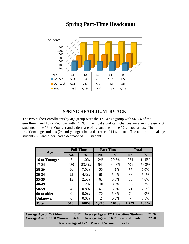

## **SPRING HEADCOUNT BY AGE**

The two highest enrollments by age group were the 17-24 age group with 56.3% of the enrollment and 16 or Younger with 14.5%. The most significant changes were an increase of 31 students in the 16 or Younger and a decrease of 42 students in the 17-24 age group. The traditional age students (24 and younger) had a decrease of 11 students. The non-traditional age students (25 and older) had a decrease of 100 students.

|                |                | <b>Full-Time</b> |       | <b>Part-Time</b> |                | <b>Total</b>  |
|----------------|----------------|------------------|-------|------------------|----------------|---------------|
| Age            | No.            | $\frac{0}{0}$    | No.   | $\frac{0}{0}$    | No.            | $\frac{0}{0}$ |
| 16 or Younger  | 5              | 1.0%             | 246   | 20.3%            | 251            | 14.5%         |
| $17 - 24$      | 430            | 83.3%            | 544   | 44.8%            | 974            | 56.3%         |
| $25 - 29$      | 36             | 7.0%             | 50    | 4.1%             | 86             | 5.0%          |
| 30-34          | 22             | 4.3%             | 66    | 5.4%             | 88             | 5.1%          |
| 35-39          | 13             | 2.5%             | 67    | 5.5%             | 80             | 4.6%          |
| 40-49          | 6              | 1.2%             | 101   | 8.3%             | 107            | 6.2%          |
| 50-59          | $\overline{A}$ | 0.8%             | 67    | 5.5%             | 71             | 4.1%          |
| 60 or older    |                | $0.0\%$          | 70    | 5.8%             | 70             | 4.0%          |
| <b>Unknown</b> | 0              | 0.0%             | 2     | 0.2%             | $\overline{2}$ | 0.1%          |
| <b>Total</b>   | 516            | 100%             | 1,213 | 100%             | 1,729          | 100%          |

**Average Age of 727 Men: 26.17 Average Age of 1000 Women: 26.09 Average Age of 1211 Part-time Students: 27.76 Average Age of 516 Full-time Students: 22.28**

**Average Age of 1727 Men and Women: 26.12**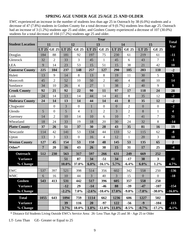## **SPRING AGE UNDER AGE 25/AGE 25 AND OLDER**

EWC experienced an increase in the number of students less than age 25 in Outreach by 38 (6.0%) students and a decrease of 47 (7.8%) students in Goshen County for a total decrease of 9 (0.7%) students less than age 25. Outreach had an increase of 3 (1.2%) students age 25 and older, and Goshen County experienced a decrease of 107 (30.0%) students for a total decrease of 104 (17.2%) students age 25 and older.

|                         |                |                   |                |                  |                | Year             |                |                |                |                         | <b>Total</b>            |
|-------------------------|----------------|-------------------|----------------|------------------|----------------|------------------|----------------|----------------|----------------|-------------------------|-------------------------|
| <b>Student Location</b> |                | 11                |                | 12               |                | 13               |                | 14             |                | 15                      | Var                     |
|                         |                | LT 25 GE 25 LT 25 |                | <b>GE 25</b>     | LT 25          | <b>GE 25</b>     | LT 25          | <b>GE 25</b>   | LT 25          | <b>GE 25</b>            |                         |
| Douglas                 | 184            | 88                | 181            | 92               | 197            | 75               | 230            | 61             | 219            | 61                      | $-11$                   |
| Glenrock                | 32             | $\overline{2}$    | 33             | 3                | 45             | $\mathbf{1}$     | 45             | 6              | 43             | $\overline{7}$          | $-1$                    |
| <b>LEA</b>              | 9              | 14                | 23             | 53               | 15             | 51               | 15             | 38             | 21             | 42                      | 10                      |
| <b>Converse County</b>  | 225            | 104               | 237            | 148              | 257            | 127              | 290            | 105            | 283            | 110                     | $-2$                    |
| Hulett                  | 13             | 9                 | 14             | 8                | 13             | 8                | 19             | 11             | 30             | 5                       | 5                       |
| Moorcroft               | 45             | $\overline{2}$    | 52             | 10               | 50             | $\overline{2}$   | 40             | $\overline{4}$ | 48             | 10                      | 14                      |
| Sundance                | 34             | 10                | 26             | $\overline{4}$   | 27             | $\mathbf{1}$     | 38             | $\overline{2}$ | 40             | 9                       | $\overline{9}$          |
| <b>Crook County</b>     | 92             | 21                | 92             | 22               | 90             | 11               | 97             | 17             | 118            | 24                      | 28                      |
| Lusk                    | 24             | 14                | 13             | 14               | 44             | 14               | 41             | 8              | 35             | 12                      | $-2$                    |
| Niobrara County         | 24             | 14                | 13             | 14               | 44             | 14               | 41             | 8              | 35             | 12                      | $-2$                    |
| Chugwater               |                | $\boldsymbol{0}$  | 3              | $\boldsymbol{0}$ | $\mathbf{1}$   | $\boldsymbol{0}$ | $\overline{0}$ | $\overline{2}$ | $\overline{0}$ | $\overline{0}$          | $-2$                    |
| Glendo                  | 5              | $\boldsymbol{0}$  | $\overline{5}$ | $\overline{4}$   | $\mathbf{1}$   | $\overline{2}$   | $\overline{3}$ | $\overline{2}$ | 8              | $\mathbf{1}$            | $\overline{\mathbf{4}}$ |
| Guernsey                | 14             | $\overline{2}$    | 10             | 14               | 10             | 6                | 10             | $\overline{7}$ | 41             | $\overline{7}$          | 31                      |
| Wheatland               | 18             | 24                | 33             | 19               | 18             | 20               | 30             | 24             | 32             | 8                       | $-14$                   |
| <b>Platte County</b>    | 37             | 26                | 51             | 37               | 30             | 28               | 43             | 35             | 81             | 16                      | 19                      |
| Newcastle               | 114            | 42                | 141            | 53               | 134            | 44               | 133            | 52             | 115            | 62                      | $-8$                    |
| Upton                   | 13             | 3                 | 13             | $\overline{0}$   | 16             | $\overline{4}$   | 12             | $\mathbf{1}$   | 20             | $\overline{3}$          | 10                      |
| <b>Weston County</b>    | 127            | 45                | 154            | 53               | 150            | 48               | 145            | 53             | 135            | 65                      | $\overline{2}$          |
| Other*                  | $\overline{7}$ | 20                | 16             | 43               | 26             | 38               | 15             | 31             | 17             | 25                      | $-4$                    |
| Outreach                | 512            | 230               | 563            | 317              | 597            | 266              | 631            | 249            | 669            | 252                     |                         |
| <b>Variance</b>         |                |                   | 51             | 87               | 34             | $-51$            | 34             | $-17$          | 38             | $\overline{\mathbf{3}}$ | 41                      |
| % Change                |                |                   | 10.0%          | 37.8%            | 6.0%           | $-16.1%$         | 5.7%           | $-6.4%$        | 6.0%           | 1.2%                    | 4.7%                    |
| <b>EWC</b>              | 537            | 397               | 521            | 398              | 514            | 356              | 602            | 342            | 558            | 250                     | $-136$                  |
| <b>WMC</b>              | 6              | 16                | 10             | 44               | $\overline{3}$ | 40               | 3              | 15             | $\overline{0}$ | $\boldsymbol{0}$        | $-18$                   |
| Goshen                  | 543            | 413               | 531            | 442              | 517            | 396              | 605            | 357            | 558            | 250                     |                         |
| <b>Variance</b>         |                |                   | $-12$          | 29               | $-14$          | $-46$            | 88             | $-39$          | $-47$          | $-107$                  | $-154$                  |
| % Change                |                |                   | $-2.2%$        | 7.0%             | $-2.6%$        | $-10.4%$         | 17.0%          | $-9.8%$        | $-7.8%$        | $-30.0%$                | $-16.0\%$               |
| <b>Total</b>            | 1055           | 643               | 1094           | 759              | 1114           | 662              | 1236           | 606            | 1227           | 502                     |                         |
| <b>Variance</b>         |                |                   | 39             | 116              | 20             | $-97$            | 122            | $-56$          | $-9$           | $-104$                  | $-113$                  |
| % Change                |                |                   | 3.7%           | 18.0%            | 1.8%           | $-12.8\%$ 11.0%  |                | $-8.5\%$       | $-0.7%$        | $-17.2\%$               | $-6.1\%$                |

\* Distance Ed Students Living Outside EWC's Service Area: 26- Less Than Age 25 and 38 - Age 25 or Older

LT- Less Than GE- Greater or Equal to 25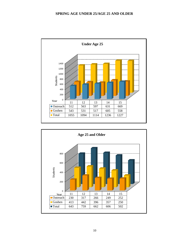#### **SPRING AGE UNDER 25/AGE 25 AND OLDER**



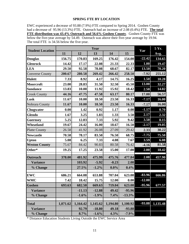#### **SPRING FTE BY LOCATION**

EWC experienced a decrease of 93.88 (7.9%) FTE compared to Spring 2014. Goshen County had a decrease of 95.96 (13.3%) FTE. Outreach had an increase of 2.08 (0.4%) FTE. **The total FTE distribution was 43.4% Outreach and 56.6% Goshen County**. Goshen County FTE was below the five-year average by 54.49. Outreach was above their five-year average by 19.94. The total FTE is 34.56 below the five-year.

| <b>Student Location</b> |          |          | Year     |          |          | Var      | 5 Yr.    |
|-------------------------|----------|----------|----------|----------|----------|----------|----------|
|                         | 11       | 12       | 13       | 14       | 15       |          | Avg.     |
| <b>Douglas</b>          | 156.75   | 170.83   | 169.25   | 176.42   | 154.00   | $-22.42$ | 134.65   |
| <b>Glenrock</b>         | 14.42    | 17.17    | 22.08    | 21.33    | 22.33    | 1.00     | 19.47    |
| <b>LEA</b>              | 29.50    | 92.58    | 78.08    | 68.67    | 82.17    | 13.50    | 70.20    |
| <b>Converse County</b>  | 200.67   | 280.58   | 269.42   | 266.42   | 258.50   | $-7.92$  | 255.12   |
| <b>Hulett</b>           | 7.33     | 8.92     | 4.17     | 14.75    | 16.25    | 1.50     | 10.28    |
| <b>Moorcroft</b>        | 23.00    | 28.83    | 31.50    | 32.50    | 45.50    | 13.00    | 32.27    |
| <b>Sundance</b>         | 13.83    | 10.00    | 11.92    | 15.92    | 18.42    | 2.50     | 14.02    |
| <b>Crook County</b>     | 44.16    | 47.75    | 47.58    | 63.17    | 80.17    | 17.00    | 56.57    |
| Lusk                    | 11.67    | 10.00    | 18.50    | 23.50    | 16.33    | $-7.17$  | 16.00    |
| Nobrara County          | 11.67    | 10.00    | 18.50    | 23.50    | 16.33    | $-7.17$  | 16.00    |
| Chugwater               | 0.00     | 1.42     | 0.92     | 1.17     | 0.00     | $-1.17$  | 0.70     |
| Glendo                  | 1.67     | 3.25     | 1.83     | 1.33     | 3.50     | 2.17     | 2.32     |
| <b>Guernsey</b>         | 5.25     | 12.83    | 7.33     | 5.92     | 9.42     | 3.50     | 8.15     |
| Wheatland               | 19.67    | 24.42    | 16.00    | 18.67    | 16.50    | $-2.17$  | 19.05    |
| <b>Platte County</b>    | 26.58    | 41.92    | 26.08    | 27.09    | 29.42    | 2.33     | 30.22    |
| <b>Newcastle</b>        | 70.58    | 78.17    | 83.50    | 76.50    | 68.75    | $-7.75$  | 75.50    |
| <b>Upton</b>            | 5.08     | 6.25     | 7.33     | 4.08     | 7.67     | 3.59     | 6.08     |
| <b>Weston County</b>    | 75.67    | 84.42    | 90.83    | 80.58    | 76.42    | $-4.16$  | 81.58    |
| Other*                  | 19.25    | 17.25    | 23.58    | 15.00    | 17.00    | 2.00     | 18.42    |
| <b>Outreach</b>         | 378.00   | 481.92   | 475.99   | 475.76   | 477.84   | 2.08     | 457.90   |
| <b>Variance</b>         |          | 103.92   | $-5.92$  | $-0.23$  | 2.08     |          |          |
| % Change                |          | 27.5%    | $-1.2\%$ | $0.0\%$  | 0.4%     |          |          |
| <b>EWC</b>              | 686.21   | 664.08   | 653.88   | 707.04   | 623.08   | $-83.96$ | 666.86   |
| <b>WMC</b>              | 7.42     | 18.42    | 15.75    | 12.00    | 0.00     | $-12.00$ |          |
| <b>Goshen</b>           | 693.63   | 682.50   | 669.63   | 719.04   | 623.08   | $-95.96$ | 677.57   |
| <b>Variance</b>         |          | $-11.13$ | $-12.88$ | 49.42    | $-95.96$ |          |          |
| % Change                |          | $-1.6%$  | $-1.9%$  | 7.4%     | $-13.3%$ |          |          |
| <b>Total</b>            | 1,071.62 | 1,164.42 | 1,145.62 | 1,194.80 | 1,100.92 | $-93.88$ | 1,135.48 |
| <b>Variance</b>         |          | 92.79    | $-18.80$ | 49.18    | $-93.88$ |          |          |
| % Change                |          | 8.7%     | $-1.6%$  | 4.3%     | $-7.9%$  |          |          |

\* Distance Education Students Living Outside the EWC Service Area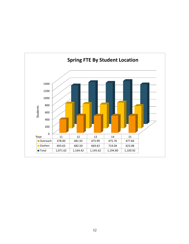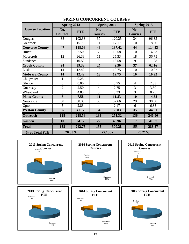|                        | Spring 2013           |            | Spring 2014           |            | Spring 2015           |            |
|------------------------|-----------------------|------------|-----------------------|------------|-----------------------|------------|
| <b>Course Location</b> | No.<br><b>Courses</b> | <b>FTE</b> | No.<br><b>Courses</b> | <b>FTE</b> | No.<br><b>Courses</b> | <b>FTE</b> |
| Douglas                | 38                    | 102.33     | 37                    | 120.25     | 34                    | 96.33      |
| Glenrock               | 9                     | 15.75      | 11                    | 17.17      | 10                    | 18.00      |
| <b>Converse County</b> | 47                    | 118.08     | 48                    | 137.42     | 44                    | 114.33     |
| Hulett                 | 3                     | 2.50       | 7                     | 10.58      | 10                    | 14.33      |
| Moorcroft              | 12                    | 26.33      | 11                    | 25.33      | 18                    | 36.75      |
| Sundance               | 9                     | 10.50      | 9                     | 13.58      | 9                     | 11.08      |
| <b>Crook County</b>    | 24                    | 39.33      | 27                    | 49.50      | 37                    | 62.16      |
| Lusk                   | 14                    | 12.42      | 13                    | 12.75      | 10                    | 10.92      |
| <b>Niobrara County</b> | 14                    | 12.42      | 13                    | 12.75      | 10                    | 10.92      |
| Chugwater              | $\mathbf{1}$          | 0.25       |                       |            |                       |            |
| Glendo                 | $\overline{0}$        | 0.00       | $\overline{2}$        | 0.75       | $\overline{4}$        | 2.33       |
| Guernsey               | $\overline{2}$        | 2.50       | $\overline{4}$        | 2.75       | 3                     | 3.50       |
| Wheatland              | 5                     | 4.83       | 5                     | 8.33       | 3                     | 8.75       |
| <b>Platte County</b>   | 8                     | 7.58       | 11                    | 11.83      | 10                    | 14.58      |
| Newcastle              | 30                    | 38.33      | 30                    | 37.66      | 29                    | 38.58      |
| Upton                  | 5                     | 2.83       | $\overline{4}$        | 2.17       | 6                     | 6.33       |
| <b>Weston County</b>   | 35                    | 41.17      | 34                    | 39.83      | 35                    | 44.91      |
| <b>Outreach</b>        | 128                   | 218.58     | 133                   | 251.32     | 136                   | 246.90     |
| Goshen                 | 10                    | 24.17      | 22                    | 48.96      | 17                    | 41.67      |
| <b>Total</b>           | 138                   | 242.75     | 155                   | 300.28     | 153                   | 288.57     |
| % of Total FTE         | 20.85%                |            | 25.13%                |            | 26.21%                |            |

## **SPRING CONCURRENT COURSES**

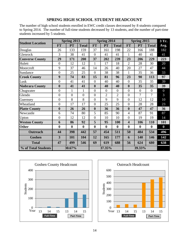## **SPRING HIGH SCHOOL STUDENT HEADCOUNT**

The number of high school students enrolled in EWC credit classes dercreased by 8 students compared to Spring 2014. The number of full-time students decreased by 13 students, and the number of part-time students increased by 5 students.

|                         | Spring 2013      |                  |                  | Spring 2014      |                  |                  |                         | Spring 2015      |                  | 3 Yr.            |
|-------------------------|------------------|------------------|------------------|------------------|------------------|------------------|-------------------------|------------------|------------------|------------------|
| <b>Student Location</b> | <b>FT</b>        | <b>PT</b>        | <b>Total</b>     | <b>FT</b>        | <b>PT</b>        | <b>Total</b>     | <b>FT</b>               | <b>PT</b>        | <b>Total</b>     | Avg.             |
| Douglas                 | 26               | 133              | 159              | 37               | 161              | 198              | 22                      | 166              | 188              | 182              |
| Glenrock                | 3                | 38               | 41               | $\overline{0}$   | 41               | 41               | $\mathbf{1}$            | 40               | 41               | 41               |
| <b>Converse County</b>  | 29               | 171              | 200              | 37               | 202              | 239              | 23                      | 206              | 229              | 223              |
| Hulett                  | $\overline{0}$   | 12               | 12               | $\mathbf{1}$     | 17               | 18               | $\overline{2}$          | 28               | 30               | 20               |
| Moorcroft               | 9                | 37               | 46               | 14               | 26               | 40               | 20                      | 27               | 47               | 44               |
| Sundance                | $\overline{0}$   | 25               | 25               | $\overline{0}$   | 38               | 38               | 1                       | 35               | 36               | 33               |
| <b>Crook County</b>     | 9                | 74               | 83               | 15               | 81               | 96               | 23                      | 90               | 113              | 97               |
| Lusk                    | $\overline{0}$   | 41               | 41               | $\overline{0}$   | 40               | 40               | $\overline{0}$          | 35               | 35               | 39               |
| <b>Niobrara County</b>  | $\boldsymbol{0}$ | 41               | 41               | $\bf{0}$         | 40               | 40               | $\boldsymbol{0}$        | 35               | 35               | 39               |
| Chugwater               | $\overline{0}$   | 1                | 1                | $\overline{0}$   | $\overline{0}$   | $\overline{0}$   | $\overline{0}$          | $\boldsymbol{0}$ | $\boldsymbol{0}$ | $\overline{0}$   |
| Glendo                  | $\overline{0}$   | $\overline{0}$   | $\overline{0}$   | $\overline{0}$   | $\overline{2}$   | $\overline{2}$   | $\overline{0}$          | $\overline{7}$   | 7                | 3                |
| Guernsey                | $\overline{0}$   | 8                | 8                | $\overline{0}$   | 9                | 9                | $\overline{0}$          | 12               | 12               | 10               |
| Wheatland               | $\overline{0}$   | 17               | 17               | $\overline{0}$   | 25               | 25               | $\overline{0}$          | 28               | 28               | 23               |
| <b>Platte County</b>    | $\boldsymbol{0}$ | 26               | 26               | $\boldsymbol{0}$ | 36               | 36               | $\boldsymbol{0}$        | 47               | 47               | 36               |
| Newcastle               | 6                | 74               | 80               | 5                | 85               | 90               | $\overline{4}$          | 87               | 91               | 87               |
| Upton                   | $\boldsymbol{0}$ | 12               | 12               | $\boldsymbol{0}$ | 10               | 10               | $\boldsymbol{0}$        | 19               | 19               | 14               |
| <b>Weston County</b>    | 6                | 86               | 92               | 5                | 95               | 100              | $\overline{\mathbf{4}}$ | 106              | 110              | 101              |
| <b>Other</b>            | $\boldsymbol{0}$ | $\boldsymbol{0}$ | $\boldsymbol{0}$ | $\boldsymbol{0}$ | $\boldsymbol{0}$ | $\boldsymbol{0}$ | $\boldsymbol{0}$        | $\boldsymbol{0}$ | $\boldsymbol{0}$ | $\boldsymbol{0}$ |
| Outreach                | 44               | 398              | 442              | 57               | 454              | 511              | 50                      | 484              | 534              | 496              |
| Goshen                  | 3                | 101              | 104              | 12               | 165              | 177              | 6                       | 140              | 146              | 142              |
| <b>Total</b>            | 47               | 499              | 546              | 69               | 619              | 688              | 56                      | 624              | 680              | 638              |
| % of Total Students     |                  | 30.67%           |                  |                  | 37.35%           |                  |                         | 39.33%           |                  |                  |



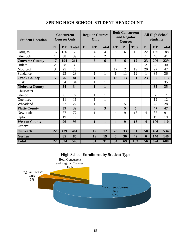| <b>Student Location</b> | <b>Concurrent</b><br><b>Courses Only</b> |     |                 | Only      | <b>Regular Courses</b> |                 | and Regular<br><b>Courses</b> | <b>Both Concurrent</b> | <b>All High School</b><br><b>Students</b> |                         |                |                 |
|-------------------------|------------------------------------------|-----|-----------------|-----------|------------------------|-----------------|-------------------------------|------------------------|-------------------------------------------|-------------------------|----------------|-----------------|
|                         | <b>FT</b>                                | PT  | <b>Total</b>    | <b>FT</b> | PT                     | <b>Total</b>    | <b>FT</b>                     | <b>PT</b>              | <b>Total</b>                              | <b>FT</b>               | <b>PT</b>      | <b>Total</b>    |
| Douglas                 | 16                                       | 156 | 172             |           | 4                      | $\overline{4}$  | 6                             | 6                      | 12                                        | 22                      | 166            | 188             |
| Glenrock                | $\mathbf{1}$                             | 38  | 39              |           | $\overline{2}$         | $\overline{2}$  |                               |                        |                                           | $\mathbf{1}$            | 40             | 41              |
| <b>Converse County</b>  | 17                                       | 194 | 211             |           | 6                      | 6               | 6                             | 6                      | 12                                        | 23                      | 206            | 229             |
| Hulett                  | $\overline{2}$                           | 28  | 30              |           |                        |                 |                               |                        |                                           | $\overline{2}$          | 28             | 30              |
| Moorcroft               | 3                                        | 25  | 28              |           |                        |                 | 17                            | $\overline{2}$         | 19                                        | 20                      | 27             | 47              |
| Sundance                |                                          | 23  | $\overline{23}$ |           | $\mathbf{1}$           | $\mathbf{1}$    | $\mathbf{1}$                  | 11                     | 12                                        | $\mathbf 1$             | 35             | $\overline{36}$ |
| <b>Crook County</b>     | 5                                        | 76  | 81              |           | $\mathbf{1}$           | $\mathbf{1}$    | 18                            | 13                     | 31                                        | 23                      | 90             | 113             |
| Lusk                    |                                          | 34  | 34              |           | $\mathbf{1}$           | $\mathbf{1}$    |                               |                        |                                           |                         | 35             | 35              |
| <b>Niobrara County</b>  |                                          | 34  | 34              |           | $\mathbf{1}$           | $\mathbf{1}$    |                               |                        |                                           |                         | 35             | 35              |
| Chugwater               |                                          |     |                 |           |                        |                 |                               |                        |                                           |                         |                |                 |
| Glendo                  |                                          | 6   | 6               |           | $\mathbf{1}$           | $\mathbf{1}$    |                               |                        |                                           |                         | $\overline{7}$ | 7               |
| Guernsey                |                                          | 11  | 11              |           | $\mathbf{1}$           | $\mathbf{1}$    |                               |                        |                                           |                         | 12             | 12              |
| Wheatland               |                                          | 22  | 22              |           | $\mathbf{1}$           | 1               |                               | 5                      | 5                                         |                         | 28             | 28              |
| <b>Platte County</b>    |                                          | 39  | 39              |           | 3                      | 3               |                               | 5                      | 5                                         |                         | 47             | 47              |
| Newcastle               |                                          | 77  | $\overline{77}$ |           | $\mathbf{1}$           | $\mathbf{1}$    | $\overline{4}$                | 9                      | 13                                        | 4                       | 87             | 91              |
| Upton                   |                                          | 19  | 19              |           |                        |                 |                               |                        |                                           |                         | 19             | 19              |
| <b>Weston County</b>    |                                          | 96  | 96              |           | $\mathbf{1}$           | $\mathbf{1}$    | $\overline{\mathbf{4}}$       | 9                      | 13                                        | $\overline{\mathbf{4}}$ | 106            | 110             |
| Other*                  |                                          |     |                 |           |                        |                 |                               |                        |                                           |                         |                |                 |
| <b>Outreach</b>         | $\overline{22}$                          | 439 | 461             |           | $\overline{12}$        | $\overline{12}$ | $\overline{28}$               | $\overline{33}$        | $\overline{61}$                           | 50                      | 484            | 534             |
| Goshen                  |                                          | 85  | 85              |           | 19                     | 19              | 6                             | 36                     | $\overline{42}$                           | 6                       | 140            | 146             |
| <b>Total</b>            | 22                                       | 524 | 546             |           | 31                     | 31              | $\overline{34}$               | 69                     | 103                                       | 56                      | 624            | 680             |

## **SPRING HIGH SCHOOL STUDENT HEADCOUNT**

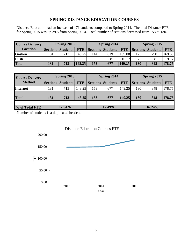## **SPRING DISTANCE EDUCATION COURSES**

Distance Education had an increase of 171 students compared to Spring 2014. The total Distance FTE for Spring 2015 was up 29.5 from Spring 2014. Total number of sections decreased from 153 to 130.

| <b>Course Delivery</b> |     | Spring 2014                  |            | Spring 2015 |                              |            |     |                          |            |
|------------------------|-----|------------------------------|------------|-------------|------------------------------|------------|-----|--------------------------|------------|
| <b>Location</b>        |     | <b>Sections   Students  </b> | <b>FTE</b> |             | <b>Sections   Students  </b> | <b>FTE</b> |     | <b>Sections Students</b> | <b>FTE</b> |
| <b>Goshen</b>          | 131 | 713                          | 148.25     | 144         | 619                          | 139.08     | 123 | 790                      | 169.58     |
| Lusk                   |     |                              |            |             | 58                           | 10.17      |     | 58                       | 9.17       |
| <b>Total</b>           | 131 | 713                          | 148.25     | 153         | 677                          | 149.25     | 130 | 848                      | 178.75     |

| <b>Course Delivery</b> |                 | Spring 2013     |            |     | Spring 2014              |            | Spring 2015     |                 |            |  |
|------------------------|-----------------|-----------------|------------|-----|--------------------------|------------|-----------------|-----------------|------------|--|
| <b>Method</b>          | <b>Sections</b> | <b>Students</b> | <b>FTE</b> |     | <b>Sections Students</b> | <b>FTE</b> | <b>Sections</b> | <b>Students</b> | <b>FTE</b> |  |
| <b>Internet</b>        | 131             | 713             | 148.25     | 153 | 677                      | 149.25     | 130             | 848             | 178.75     |  |
| <b>Total</b>           | 131             | 713             | 148.25     | 153 | 677                      | 149.25     | 130             | 848             | 178.75     |  |
|                        |                 |                 |            |     |                          |            |                 |                 |            |  |
| % of Total FTE         |                 | 12.94%          |            |     | 12.49%                   |            | 16.24%          |                 |            |  |

Number of students is a duplicated headcount

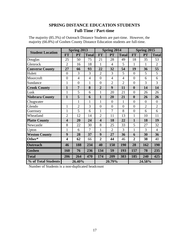# **SPRING DISTANCE EDUCATION STUDENTS Full-Time / Part-time**

| The majority (85.3%) of Outreach Distance Students are part-time. However, the |  |
|--------------------------------------------------------------------------------|--|
| majority (66.8%) of Goshen County Distance Education students are full-time.   |  |

|                         |                         | Spring 2013    |                |                         | Spring 2014    |                | Spring 2015      |                |                |  |
|-------------------------|-------------------------|----------------|----------------|-------------------------|----------------|----------------|------------------|----------------|----------------|--|
| <b>Student Location</b> | <b>FT</b>               | PT             | <b>Total</b>   | <b>FT</b>               | PT             | <b>Total</b>   | <b>FT</b>        | PT             | <b>Total</b>   |  |
| Douglas                 | 25                      | 50             | 75             | 21                      | 28             | 49             | 18               | 35             | 53             |  |
| Glenrock                | $\overline{2}$          | 16             | 18             | 1                       | $\overline{4}$ | 5              | 1                | 1              | $\overline{2}$ |  |
| <b>Converse County</b>  | 27                      | 66             | 93             | 22                      | 32             | 54             | 19               | 36             | 55             |  |
| Hulett                  | $\overline{0}$          | 3              | 3              | $\overline{2}$          | 3              | 5              | $\overline{0}$   | 5              | 5              |  |
| Moorcroft               | $\overline{0}$          | $\overline{4}$ | $\overline{4}$ | $\overline{0}$          | $\overline{4}$ | $\overline{4}$ | $\overline{0}$   | 6              | 6              |  |
| Sundance                | $\mathbf{1}$            | $\overline{0}$ | $\mathbf{1}$   | $\overline{0}$          | $\overline{2}$ | $\overline{2}$ | $\overline{0}$   | 3              | 3              |  |
| <b>Crook County</b>     | $\mathbf{1}$            | $\overline{7}$ | 8              | $\overline{2}$          | 9              | 11             | $\boldsymbol{0}$ | 14             | 14             |  |
| Lusk                    | $\mathbf{1}$            | 5              | 6              | $\mathbf{1}$            | 20             | 21             | $\overline{0}$   | 26             | 26             |  |
| <b>Niobrara County</b>  | $\mathbf{1}$            | 5              | 6              | $\mathbf{1}$            | 20             | 21             | $\bf{0}$         | 26             | 26             |  |
| Chugwater               |                         | $\mathbf{1}$   | $\mathbf{1}$   | $\mathbf{1}$            | $\overline{0}$ | $\mathbf 1$    | $\overline{0}$   | $\overline{0}$ | $\overline{0}$ |  |
| Glendo                  | $\mathbf{1}$            | $\overline{2}$ | 3              | $\overline{0}$          | $\overline{0}$ | $\overline{0}$ | $\overline{0}$   | $\overline{2}$ | $\overline{2}$ |  |
| Guernsey                | $\mathbf{1}$            | 5              | 6              | $\mathbf{1}$            | $\overline{7}$ | 8              | $\overline{0}$   | 6              | 6              |  |
| Wheatland               | $\overline{2}$          | 12             | 14             | $\overline{2}$          | 11             | 13             | $\mathbf{1}$     | 10             | 11             |  |
| <b>Platte County</b>    | $\overline{\mathbf{4}}$ | 20             | 24             | $\overline{\mathbf{4}}$ | 18             | 22             | $\mathbf{1}$     | 18             | 19             |  |
| Newcastle               | 8                       | 22             | 30             | 8                       | 25             | 33             | 5                | 27             | 32             |  |
| Upton                   | $\mathbf{1}$            | 6              | 7              | $\mathbf{1}$            | $\overline{2}$ | 3              | $\mathbf{1}$     | 3              | $\overline{4}$ |  |
| <b>Weston County</b>    | 9                       | 28             | 37             | 9                       | 27             | 36             | 6                | 30             | 36             |  |
| Other*                  | 4                       | 62             | 66             | $\overline{2}$          | 44             | 46             | $\overline{2}$   | 38             | 40             |  |
| <b>Outreach</b>         | 46                      | 188            | 234            | 40                      | 150            | 190            | 28               | 162            | 190            |  |
| <b>Goshen</b>           | 160                     | 76             | 236            | 134                     | 59             | 193            | 157              | 78             | 235            |  |
| <b>Total</b>            | 206                     | 264            | 470            | 174                     | 209            | 383            | 185              | 240            | 425            |  |
| % of Total Students     | 26.40%                  |                |                |                         | 20.79%         |                | 24.58%           |                |                |  |

Number of Students is a non-duplicated headcount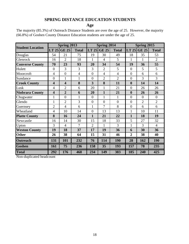## **SPRING DISTANCE EDUCATION STUDENTS**

**Age**

The majority (85.3%) of Outreach Distance Students are over the age of 25. However, the majority (66.8%) of Goshen County Distance Education students are under the age of 25.

|                         |                         | Spring 2013    |                |                | <b>Spring 2014</b> |                |                  | Spring 2015    |                |
|-------------------------|-------------------------|----------------|----------------|----------------|--------------------|----------------|------------------|----------------|----------------|
| <b>Student Location</b> | LT 25                   | <b>GE 25</b>   | <b>Total</b>   | $LT$ 25        | <b>GE 25</b>       | <b>Total</b>   | LT 25            | <b>GE 25</b>   | <b>Total</b>   |
| Douglas                 | 54                      | 21             | 75             | 19             | 30                 | 49             | 18               | 35             | 53             |
| Glenrock                | 16                      | $\overline{2}$ | 18             | 1              | 4                  | 5              | 1                | 1              | $\overline{2}$ |
| <b>Converse County</b>  | 70                      | 23             | 93             | 20             | 34                 | 54             | 19               | 36             | 55             |
| Hulett                  | $\overline{0}$          | 3              | 3              | 3              | $\overline{2}$     | 5              | $\overline{0}$   | 5              | 5              |
| Moorcroft               | 4                       | $\overline{0}$ | $\overline{4}$ | $\overline{0}$ | $\overline{4}$     | $\overline{4}$ | $\overline{0}$   | 6              | 6              |
| Sundance                | $\overline{0}$          | $\mathbf{1}$   | $\mathbf{1}$   | $\theta$       | $\overline{2}$     | $\overline{2}$ | $\overline{0}$   | 3              | 3              |
| <b>Crook County</b>     | $\overline{\mathbf{4}}$ | 4              | 8              | 3              | 8                  | 11             | $\boldsymbol{0}$ | 14             | 14             |
| Lusk                    | $\overline{4}$          | $\overline{2}$ | 6              | 20             | 1                  | 21             | $\overline{0}$   | 26             | 26             |
| <b>Niobrara County</b>  | $\overline{\mathbf{4}}$ | $\overline{2}$ | 6              | 20             | 1                  | 21             | $\boldsymbol{0}$ | 26             | 26             |
| Chugwater               | $\mathbf{1}$            | $\overline{0}$ | 1              | $\overline{0}$ | 1                  | 1              | $\overline{0}$   | $\overline{0}$ | $\overline{0}$ |
| Glendo                  | 1                       | $\overline{2}$ | 3              | $\overline{0}$ | $\overline{0}$     | $\overline{0}$ | $\overline{0}$   | $\overline{2}$ | $\overline{2}$ |
| Guernsey                | $\overline{2}$          | $\overline{4}$ | 6              | 1              | 7                  | 8              | $\overline{0}$   | 6              | 6              |
| Wheatland               | 4                       | 10             | 14             | $\overline{0}$ | 13                 | 13             | $\mathbf{1}$     | 10             | 11             |
| <b>Platte County</b>    | 8                       | 16             | 24             | $\mathbf{1}$   | 21                 | 22             | $\mathbf{1}$     | 18             | 19             |
| Newcastle               | 16                      | 14             | 30             | 15             | 18                 | 33             | 5                | 27             | 32             |
| Upton                   | 3                       | $\overline{4}$ | 7              | $\overline{2}$ | 1                  | 3              | 1                | 3              | $\overline{4}$ |
| <b>Weston County</b>    | 19                      | 18             | 37             | 17             | 19                 | 36             | 6                | 30             | 36             |
| <b>Other</b>            | 26                      | 38             | 64             | 15             | 31                 | 46             | $\overline{2}$   | 38             | 40             |
| <b>Outreach</b>         | 131                     | 101            | 232            | 76             | 114                | 190            | 28               | 162            | 190            |
| Goshen                  | 161                     | 75             | 236            | 158            | 35                 | 193            | 157              | 78             | 235            |
| <b>Total</b>            | 292                     | 176            | 468            | 234            | 149                | 383            | 185              | 240            | 425            |

Non-duplicated headcount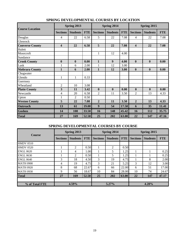| <b>Course Location</b> |                         | Spring 2013      |            |                 | Spring 2014      |            | Spring 2015             |                  |            |  |
|------------------------|-------------------------|------------------|------------|-----------------|------------------|------------|-------------------------|------------------|------------|--|
|                        | <b>Sections</b>         | <b>Students</b>  | <b>FTE</b> | <b>Sections</b> | <b>Students</b>  | <b>FTE</b> | <b>Sections</b>         | <b>Students</b>  | <b>FTE</b> |  |
| Douglas                | 4                       | 22               | 6.58       | 5               | 22               | 7.08       | 4                       | 22               | 7.08       |  |
| Glenrock               |                         |                  |            |                 |                  |            |                         |                  |            |  |
| <b>Converse County</b> | 4                       | 22               | 6.58       | 5               | 22               | 7.08       | $\overline{\mathbf{4}}$ | 22               | 7.08       |  |
| Hulett                 |                         |                  |            |                 |                  |            |                         |                  |            |  |
| Moorcroft              |                         |                  |            | $\mathbf{1}$    | 12               | 4.00       |                         |                  |            |  |
| Sundance               |                         |                  |            |                 |                  |            |                         |                  |            |  |
| <b>Crook County</b>    | $\boldsymbol{0}$        | $\boldsymbol{0}$ | 0.00       | $\mathbf{1}$    | $\boldsymbol{9}$ | 4.00       | $\mathbf{0}$            | $\mathbf{0}$     | 0.00       |  |
| Lusk                   | 1                       | 6                | 2.00       | 1               | 12               | 3.00       |                         |                  |            |  |
| <b>Niobrara County</b> | $\mathbf{1}$            | 6                | 2.00       | $\mathbf{1}$    | 12               | 3.00       | $\mathbf{0}$            | $\boldsymbol{0}$ | 0.00       |  |
| Chugwater              |                         |                  |            |                 |                  |            |                         |                  |            |  |
| Glendo                 | 1                       | $\mathbf{1}$     | 0.33       |                 |                  |            |                         |                  |            |  |
| Guernsey               |                         |                  |            |                 |                  |            |                         |                  |            |  |
| Wheatland              | $\overline{2}$          | 10               | 3.08       |                 |                  |            |                         |                  |            |  |
| <b>Platte County</b>   | $\overline{\mathbf{3}}$ | 11               | 3.42       | $\bf{0}$        | $\boldsymbol{0}$ | 0.00       | $\bf{0}$                | $\boldsymbol{0}$ | 0.00       |  |
| Newcastle              | $\overline{4}$          | 20               | 6.58       | 2               | 11               | 3.50       | $\overline{c}$          | 13               | 4.33       |  |
| Upton                  | 1                       | $\overline{c}$   | 0.50       |                 |                  |            |                         |                  |            |  |
| <b>Weston County</b>   | 5                       | 22               | 7.08       | $\overline{2}$  | 11               | 3.50       | $\overline{2}$          | 13               | 4.33       |  |
| <b>Outreach</b>        | 13                      | 61               | 19.08      | 9               | 54               | 17.58      | 6                       | 35               | 11.41      |  |
| <b>Goshen</b>          | 14                      | 108              | 33.50      | 16              | 148              | 45.42      | 16                      | 112              | 35.75      |  |
| <b>Total</b>           | 27                      | 169              | 52.58      | 25              | 202              | 63.00      | 22                      | 147              | 47.16      |  |

## **SPRING DEVELOPMENTAL COURSES BY LOCATION**

## **SPRING DEVELOPMENTAL COURSES BY COURSE**

| <b>Course</b>    |                 | Spring 2013     |            |                 | Spring 2014     |            | Spring 2015     |                 |            |  |
|------------------|-----------------|-----------------|------------|-----------------|-----------------|------------|-----------------|-----------------|------------|--|
|                  | <b>Sections</b> | <b>Students</b> | <b>FTE</b> | <b>Sections</b> | <b>Students</b> | <b>FTE</b> | <b>Sections</b> | <b>Students</b> | <b>FTE</b> |  |
| <b>HMDV 0510</b> |                 |                 |            |                 |                 |            |                 |                 |            |  |
| <b>HMDV 0520</b> |                 | 2               | 0.50       |                 | 2               | 0.50       |                 |                 |            |  |
| <b>ENGL 0620</b> |                 | 4               | 1.00       |                 | 5               | 1.25       |                 |                 | 0.25       |  |
| <b>ENGL 0630</b> |                 | 2               | 0.50       |                 | 5               | 1.25       |                 |                 | 0.25       |  |
| <b>ENGL 0640</b> | 3               | 18              | 4.50       | 3               | 19              | 4.75       |                 | 8               | 2.00       |  |
| <b>MATH 0900</b> | 4               | 19              | 4.75       | 3               | 21              | 5.25       | 3               | 12              | 3.00       |  |
| <b>MATH 0920</b> | 8               | 68              | 22.67      | 6               | 66              | 22.00      | 6               | 51              | 17.00      |  |
| <b>MATH 0930</b> | 9               | 56              | 18.67      | 10              | 84              | 28.00      | 10              | 74              | 24.67      |  |
| <b>Total</b>     | 27              | 169             | 52.58      | 25              | 202             | 63.00      | 22              | 147             | 47.17      |  |
|                  |                 |                 |            |                 |                 |            |                 |                 |            |  |
| % of Total FTE   | 4.59%           |                 |            | 5.27%           |                 |            | 4.28%           |                 |            |  |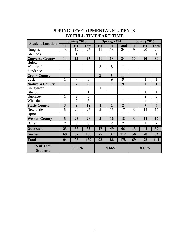|                               |                | Spring 2013     |                |                | Spring 2014     |                | Spring 2015    |                 |                |  |
|-------------------------------|----------------|-----------------|----------------|----------------|-----------------|----------------|----------------|-----------------|----------------|--|
| <b>Student Location</b>       | <b>FT</b>      | PT              | <b>Total</b>   | <b>FT</b>      | PT              | <b>Total</b>   | <b>FT</b>      | PT              | <b>Total</b>   |  |
| Douglas                       | 13             | 12              | 25             | 11             | 13              | 24             | 9              | 20              | 29             |  |
| Glenrock                      | $\mathbf{1}$   | $\mathbf{1}$    | $\overline{2}$ |                |                 |                | $\overline{1}$ |                 | 1              |  |
| <b>Converse County</b>        | 14             | 13              | 27             | 11             | 13              | 24             | 10             | 20              | 30             |  |
| Hulett                        |                |                 |                |                |                 |                |                |                 |                |  |
| Moorcroft                     |                |                 |                | 3              | 8               | 11             |                |                 |                |  |
| Sundance                      |                |                 |                |                |                 |                |                |                 |                |  |
| <b>Crook County</b>           |                |                 |                | $\overline{3}$ | 8               | 11             |                |                 |                |  |
| Lusk                          | $\mathbf{1}$   | 7               | $\overline{8}$ |                | $\overline{9}$  | $\overline{9}$ |                | $\mathbf{1}$    | $\overline{1}$ |  |
| <b>Niobrara County</b>        | $\mathbf{1}$   | $\overline{7}$  | 8              |                | 9               | 9              |                | $\mathbf{1}$    | $\mathbf{1}$   |  |
| Chugwater                     |                |                 |                | 1              |                 | $\mathbf{1}$   |                |                 |                |  |
| Glendo                        | $\mathbf{1}$   |                 | $\mathbf{1}$   |                |                 |                |                | $\mathbf{1}$    | $\mathbf{1}$   |  |
| Guernsey                      | $\mathbf{1}$   | $\overline{2}$  | $\overline{3}$ |                |                 |                |                | $\overline{2}$  | $\overline{2}$ |  |
| Wheatland                     | $\overline{1}$ | 7               | $\overline{8}$ |                | 1               | 1              |                | $\overline{4}$  | $\overline{4}$ |  |
| <b>Platte County</b>          | 3              | 9               | 12             | $\mathbf{1}$   | $\mathbf{1}$    | $\overline{2}$ |                | $\overline{7}$  | $\overline{7}$ |  |
| Newcastle                     | 5              | 20              | 25             | $\overline{2}$ | 15              | 17             | 3              | 14              | 17             |  |
| Upton                         |                | 3               | 3              |                | 1               | 1              |                |                 |                |  |
| <b>Weston County</b>          | 5              | 23              | 28             | $\overline{2}$ | 16              | 18             | 3              | 14              | 17             |  |
| <b>Other</b>                  | $\overline{2}$ | 6               | 8              |                | $\overline{2}$  | $\overline{2}$ |                | $\overline{2}$  | $\overline{2}$ |  |
| <b>Outreach</b>               | 25             | 58              | 83             | 17             | 49              | 66             | 13             | 44              | 57             |  |
| <b>Goshen</b>                 | 69             | $\overline{37}$ | 106            | 75             | $\overline{37}$ | 112            | 56             | 28              | 84             |  |
| <b>Total</b>                  | 94             | 95              | <b>189</b>     | 92             | 86              | 178            | 69             | $\overline{72}$ | 141            |  |
| % of Total<br><b>Students</b> |                | 10.62%          |                |                | 9.66%           |                |                | 8.16%           |                |  |

# **BY FULL-TIME/PART-TIME SPRING DEVELOPMENTAL STUDENTS**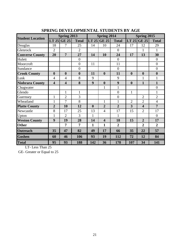|                         |                         | Spring 2013             |                  |                  | <b>Spring 2014</b>      |                | Spring 2015      |                         |                  |  |
|-------------------------|-------------------------|-------------------------|------------------|------------------|-------------------------|----------------|------------------|-------------------------|------------------|--|
| <b>Student Location</b> |                         | $LT$ 25 GE 25           | <b>Total</b>     | LT 25            | <b>GE 25</b>            | <b>Total</b>   | $LT$ 25          | <b>GE 25</b>            | <b>Total</b>     |  |
| Douglas                 | 18                      | 7                       | 25               | 14               | 10                      | 24             | 17               | 12                      | 29               |  |
| Glenrock                | $\overline{2}$          |                         | $\overline{2}$   |                  |                         | $\overline{0}$ |                  | 1                       | 1                |  |
| <b>Converse County</b>  | 20                      | $\overline{7}$          | 27               | 14               | 10                      | 24             | 17               | 13                      | 30               |  |
| Hulett                  |                         |                         | $\overline{0}$   |                  |                         | $\overline{0}$ |                  |                         | $\theta$         |  |
| Moorcroft               |                         |                         | $\overline{0}$   | 11               |                         | 11             |                  |                         | $\overline{0}$   |  |
| Sundance                |                         |                         | $\overline{0}$   |                  |                         | $\overline{0}$ |                  |                         | $\overline{0}$   |  |
| <b>Crook County</b>     | $\boldsymbol{0}$        | $\boldsymbol{0}$        | $\boldsymbol{0}$ | 11               | $\boldsymbol{0}$        | 11             | $\boldsymbol{0}$ | $\boldsymbol{0}$        | $\boldsymbol{0}$ |  |
| Lusk                    | $\overline{4}$          | $\overline{4}$          | 8                | 9                |                         | 9              |                  | 1                       | 1                |  |
| <b>Niobrara County</b>  | $\overline{\mathbf{4}}$ | $\overline{\mathbf{4}}$ | 8                | 9                | $\boldsymbol{0}$        | 9              | $\boldsymbol{0}$ | $\mathbf{1}$            | $\mathbf{1}$     |  |
| Chugwater               |                         |                         |                  |                  | 1                       | $\mathbf{1}$   |                  |                         | $\overline{0}$   |  |
| Glendo                  |                         | $\mathbf{1}$            | $\mathbf{1}$     |                  |                         | $\overline{0}$ | $\mathbf{1}$     |                         | 1                |  |
| Guernsey                | $\mathbf{1}$            | $\overline{2}$          | 3                |                  |                         | $\overline{0}$ |                  | $\overline{2}$          | $\overline{2}$   |  |
| Wheatland               | $\mathbf{1}$            | 7                       | 8                |                  | $\mathbf{1}$            | $\mathbf{1}$   | $\overline{2}$   | $\overline{2}$          | $\overline{4}$   |  |
| <b>Platte County</b>    | $\overline{2}$          | 10                      | 12               | $\boldsymbol{0}$ | $\overline{2}$          | $\overline{2}$ | 3                | $\overline{\mathbf{4}}$ | $\overline{7}$   |  |
| Newcastle               | 8                       | 17                      | 25               | 13               | $\overline{4}$          | 17             | 15               | $\overline{2}$          | 17               |  |
| Upton                   | $\mathbf{1}$            | $\overline{2}$          | 3                | 1                |                         | 1              |                  |                         | $\Omega$         |  |
| <b>Weston County</b>    | 9                       | 19                      | 28               | 14               | $\overline{\mathbf{4}}$ | 18             | 15               | $\overline{2}$          | 17               |  |
| <b>Other</b>            |                         | 7                       | 7                | $\mathbf{1}$     | $\mathbf{1}$            | $\overline{2}$ |                  | $\overline{2}$          | $\overline{2}$   |  |
| <b>Outreach</b>         | 35                      | 47                      | 82               | 49               | 17                      | 66             | 35               | 22                      | 57               |  |
| <b>Goshen</b>           | 60                      | 46                      | 106              | 93               | 19                      | 112            | 72               | 12                      | 84               |  |
| <b>Total</b>            | 95                      | 93                      | 188              | 142              | 36                      | 178            | 107              | 34                      | 141              |  |

## **SPRING DEVELOPMENTAL STUDENTS BY AGE**

LT- Less Than 25

GE- Greater or Equal to 25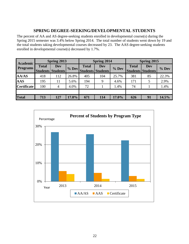## **SPRING DEGREE-SEEKING/DEVELOPMENTAL STUDENTS**

The percent of AA and AS degree-seeking students enrolled in developmental course(s) during the Spring 2015 semester was 3.4% below Spring 2014. The total number of students went down by 19 and the total students taking developmental courses decreased by 23. The AAS degree-seeking students enrolled in developmental course(s) decreased by 1.7%.

| Academic           |              | <b>Spring 2013</b>       |       |              | Spring 2014                            |         | Spring 2015                              |     |         |  |
|--------------------|--------------|--------------------------|-------|--------------|----------------------------------------|---------|------------------------------------------|-----|---------|--|
| <b>Programs</b>    | <b>Total</b> | Dev<br>Students Students | % Dev | <b>Total</b> | <b>Dev</b><br><b>Students Students</b> | $%$ Dev | <b>Total</b><br><b>Students Students</b> | Dev | $%$ Dev |  |
| <b>AA/AS</b>       | 418          | 112                      | 26.8% | 405          | 104                                    | 25.7%   | 381                                      | 85  | 22.3%   |  |
| <b>AAS</b>         | 195          | 11                       | 5.6%  | 194          | 9                                      | 4.6%    | 171                                      | 5   | 2.9%    |  |
| <b>Certificate</b> | 100          | 4                        | 4.0%  | 72           |                                        | 1.4%    | 74                                       |     | 1.4%    |  |
|                    |              |                          |       |              |                                        |         |                                          |     |         |  |
| <b>Total</b>       | 713          | 127                      | 17.8% | 671          | 114                                    | 17.0%   | 626                                      | 91  | 14.5%   |  |

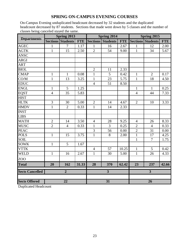## **SPRING ON-CAMPUS EVENING COURSES**

On-Campus Evening unduplicated headcount decreased by 32 students and the duplicated headcount decreased by 87 students. Sections that made went down by 5 classes and the number of classes being canceled stayed the same.

|                        |                 | Spring 2013     |            |                         | <b>Spring 2014</b> |            | Spring 2015             |                          |            |  |
|------------------------|-----------------|-----------------|------------|-------------------------|--------------------|------------|-------------------------|--------------------------|------------|--|
| <b>Departments</b>     | <b>Sections</b> | <b>Students</b> | <b>FTE</b> | <b>Sections</b>         | <b>Students</b>    | <b>FTE</b> |                         | <b>Sections Students</b> | <b>FTE</b> |  |
| <b>AGEC</b>            | $\mathbf{1}$    | $\overline{7}$  | 1.17       | 1                       | 16                 | 2.67       | 1                       | 12                       | 2.00       |  |
| <b>AGTK</b>            | $\mathbf{1}$    | 15              | 2.50       | $\overline{2}$          | 54                 | 9.00       | $\mathbf{1}$            | 34                       | 5.67       |  |
| <b>ANSC</b>            |                 |                 |            |                         |                    |            |                         |                          |            |  |
| <b>ARGI</b>            |                 |                 |            |                         |                    |            |                         |                          |            |  |
| <b>ART</b>             |                 |                 |            |                         |                    |            |                         |                          |            |  |
| <b>BIOL</b>            |                 |                 |            | $\overline{2}$          | 11                 | 2.33       |                         |                          |            |  |
| <b>CMAP</b>            | $\mathbf{1}$    | $\mathbf{1}$    | 0.08       | $\mathbf{1}$            | 5                  | 0.42       | $\mathbf{1}$            | $\overline{2}$           | 0.17       |  |
| CO/M                   | $\mathbf{1}$    | 13              | 3.25       | $\mathbf{1}$            | 23                 | 5.75       | $\mathbf{1}$            | 18                       | 4.50       |  |
| <b>EDUC</b>            |                 |                 |            | $\overline{4}$          | 51                 | 8.50       |                         |                          |            |  |
| <b>ENGL</b>            | $\mathbf{1}$    | 5               | 1.25       |                         |                    |            | $\mathbf{1}$            | $\mathbf{1}$             | 0.25       |  |
| <b>EQST</b>            | $\overline{4}$  | 35              | 5.83       |                         |                    |            | $\overline{4}$          | 44                       | 7.33       |  |
| <b>HIST</b>            |                 |                 |            |                         |                    |            |                         |                          |            |  |
| <b>HLTK</b>            | 3               | 30              | 5.00       | $\overline{2}$          | 14                 | 4.67       | $\overline{2}$          | 10                       | 3.33       |  |
| <b>HMDV</b>            | $\mathbf{1}$    | $\overline{2}$  | 0.33       | $\mathbf{1}$            | 14                 | 2.33       |                         |                          |            |  |
| <b>INST</b>            |                 |                 |            |                         |                    |            |                         |                          |            |  |
| <b>LIBS</b>            |                 |                 |            |                         |                    |            |                         |                          |            |  |
| <b>MATH</b>            | $\overline{2}$  | 14              | 3.50       | $\overline{4}$          | 28                 | 9.25       | $\overline{4}$          | 26                       | 8.33       |  |
| <b>MUSC</b>            | $\overline{2}$  | $\overline{4}$  | 0.33       | $\mathbf{1}$            | 3                  | 0.25       | $\overline{2}$          | $\overline{4}$           | 0.33       |  |
| <b>PEAC</b>            |                 |                 |            | $\overline{3}$          | 56                 | 0.00       | $\sqrt{2}$              | 31                       | 0.00       |  |
| <b>POLS</b>            | $\mathbf{1}$    | 15              | 3.75       | $\overline{1}$          | 8                  | 2.00       | $\overline{1}$          | $\overline{17}$          | 4.25       |  |
| <b>SOIL</b>            |                 |                 |            |                         |                    |            | $\mathbf{1}$            | $\overline{7}$           | 1.75       |  |
| <b>SOWK</b>            | $\mathbf{1}$    | 5               | 1.67       |                         |                    |            |                         |                          |            |  |
| <b>VTTK</b>            |                 |                 |            | $\overline{4}$          | 57                 | 10.25      | $\mathbf{1}$            | 5                        | 0.42       |  |
| <b>WELD</b>            | $\mathbf{1}$    | 16              | 2.67       | $\mathbf{1}$            | 30                 | 5.00       | $\mathbf{1}$            | 26                       | 4.33       |  |
| ZOO                    |                 |                 |            |                         |                    |            |                         |                          |            |  |
| <b>Total</b>           | 20              | 162             | 31.33      | 28                      | 370                | 62.42      | 23                      | 237                      | 42.66      |  |
| <b>Sects Cancelled</b> | $\overline{2}$  |                 |            | $\overline{\mathbf{3}}$ |                    |            | $\overline{\mathbf{3}}$ |                          |            |  |
|                        |                 |                 |            |                         |                    |            |                         |                          |            |  |
| <b>Sects Offered</b>   | $\overline{22}$ |                 |            |                         | $\overline{31}$    |            | $\overline{26}$         |                          |            |  |

Duplicated Headcount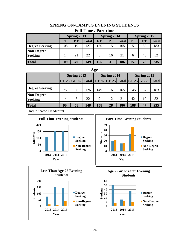## **SPRING ON-CAMPUS EVENING STUDENTS**

| r un-Thine / Tai cume |                    |    |              |           |                    |              |             |           |              |  |
|-----------------------|--------------------|----|--------------|-----------|--------------------|--------------|-------------|-----------|--------------|--|
|                       | <b>Spring 2013</b> |    |              |           | <b>Spring 2014</b> |              | Spring 2015 |           |              |  |
|                       | <b>FT</b>          | PT | <b>Total</b> | <b>FT</b> | <b>PT</b>          | <b>Total</b> | <b>FT</b>   | <b>PT</b> | <b>Total</b> |  |
| <b>Degree Seeking</b> | 108                | 19 | 127          | 150       | 15                 | 165          | l 51        | 32        | 183          |  |
| <b>Non-Degree</b>     |                    |    |              |           |                    |              |             |           |              |  |
| <b>Seeking</b>        |                    | 21 | 22           |           | 16                 | 21           |             | 46        | 52           |  |
| <b>Total</b>          | 109                | 40 | 149          | 155       | 31                 | 186          | 157         | 78        | 235          |  |

## **Full-Time / Part-time**

| Age                                 |    |                                                       |     |             |             |     |             |    |     |  |  |
|-------------------------------------|----|-------------------------------------------------------|-----|-------------|-------------|-----|-------------|----|-----|--|--|
|                                     |    | Spring 2013                                           |     |             | Spring 2014 |     | Spring 2015 |    |     |  |  |
|                                     |    | LT 25 GE 25 Total LT 25 GE 25 Total LT 25 GE 25 Total |     |             |             |     |             |    |     |  |  |
| <b>Degree Seeking</b>               | 76 | 50                                                    | 126 | 149         | 16          | 165 | 146         | 37 | 183 |  |  |
| <b>Non-Degree</b><br><b>Seeking</b> | 14 | 8                                                     | 22  | $\mathbf Q$ | 12          | 21  | 42          | 10 | 52  |  |  |
| <b>Total</b>                        | 90 | 58                                                    | 148 | 158         | 28          | 186 | 188         | 47 | 235 |  |  |

Unduplicated Headcount

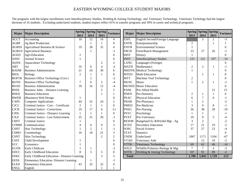## EASTERN WYOMING COLLEGE STUDENT MAJORS

The programs with the largest enrollments were Interdisciplinary Studies, Welding & Joining Technology, and Veterinary Technology. Veterinary Techology had the largest decrease of 16 students. Excluding undeclared students, student majors reflect 61% in transfer programs and 39% in career and technical programs.

| <b>Major</b> | <b>Major Description</b>                       | <b>Spring</b><br>2013   | Spring Spring<br>2014 | 2015           | Variance         | <b>Major</b> | <b>Major Description</b>         | 2013           | Spring Spring Spring<br>2014 | 2015           | <b>Variance</b>  |
|--------------|------------------------------------------------|-------------------------|-----------------------|----------------|------------------|--------------|----------------------------------|----------------|------------------------------|----------------|------------------|
| <b>ACCT</b>  | Accounting                                     | 10                      | 12                    | 16             | $\overline{4}$   | <b>ESFL</b>  | English Second/Foreign Language  |                | 5                            | $\overline{2}$ | $-3$             |
| <b>AGBP</b>  | Ag Beef Production                             |                         |                       | 1              | $\boldsymbol{0}$ | <b>ENTR</b>  | Entrepreneurship                 |                |                              |                | $\mathbf{1}$     |
| <b>AGBSS</b> | Agricultural Business & Science                | 19                      | 28                    | 32             | $\overline{4}$   | <b>ENVR</b>  | <b>Environmental Science</b>     | $\overline{2}$ |                              |                | $\boldsymbol{0}$ |
| <b>AGBUS</b> | <b>Agricultural Business</b>                   |                         |                       |                | -1               | <b>FRCH</b>  | Farm/Ranch Management            | 23             | 27                           | 26             | -1               |
| <b>AGED</b>  | Agri-Education                                 | $\overline{2}$          |                       |                | $\boldsymbol{0}$ | <b>HIST</b>  | History                          | 1              |                              |                | $\boldsymbol{0}$ |
| <b>ANSC</b>  | Animal Science                                 | 1                       |                       |                | $\boldsymbol{0}$ | <b>INST</b>  | <b>Interdisciplinary Studies</b> | 123            | 121                          | 107            | $-14$            |
| <b>AQTK</b>  | <b>Aquaculture Technology</b>                  |                         |                       | $\overline{2}$ | $\sqrt{2}$       | <b>LANG</b>  | Languages (Foreign)              |                |                              |                | $\boldsymbol{0}$ |
| <b>ART</b>   | Art                                            | 10                      | 6                     | $\overline{4}$ | $-2$             | <b>MATH</b>  | Mathematics                      | 2              | $\overline{2}$               | 1              | $-1$             |
| <b>BADM</b>  | <b>Business Administration</b>                 | 21                      | 24                    | 30             | 6                |              | <b>MEDTK</b> Medical Technology  |                |                              |                | $\overline{0}$   |
| <b>BIOL</b>  | <b>Biology</b>                                 | $\overline{2}$          |                       | 1              | $\boldsymbol{0}$ | <b>MTED</b>  | <b>Math Education</b>            |                | -1                           | 1              | $\theta$         |
| <b>BOFTK</b> | Business Office Technology (Cert.)             |                         | $\overline{2}$        |                | $-2$             | <b>MTT</b>   | Machine Tool Technology          | $\overline{2}$ |                              |                | 0                |
| <b>BOTK</b>  | <b>Business Office Technology</b>              | $\overline{7}$          | 6                     | $\overline{2}$ | $-4$             | <b>MUSC</b>  | Music                            | 1              | $\overline{2}$               | 1              | $-1$             |
| <b>BSAD</b>  | <b>Business Administration</b>                 | 18                      | 16                    | 12             | $-4$             | <b>MUSED</b> | <b>Music Education</b>           |                |                              |                | $\theta$         |
| <b>BSDL</b>  | Business Adm. - Distance Learning              |                         |                       | 5              | 5                | <b>PAHL</b>  | Pre-Allied Health                |                |                              | 15             | 15               |
| <b>BSED</b>  | <b>Business Education</b>                      |                         |                       |                |                  | <b>PDEN</b>  | Pre-Dentistry                    | 2              | -1                           | 1              | $\theta$         |
| <b>BWEB</b>  | (Business) Web Design                          | 1                       |                       |                | $\boldsymbol{0}$ | <b>PEAC</b>  | <b>Physical Education</b>        | 6              | $\overline{7}$               | 6              | -1               |
| <b>CAPS</b>  | <b>Computer Applications</b>                   | 44                      | 22                    | 24             | $\overline{2}$   | <b>PHAR</b>  | Pre-Pharmacy                     |                | $\overline{2}$               |                | $-2$             |
| <b>CJCC</b>  | Criminal Justice - Corr. - Certificate         | $\overline{2}$          |                       | 1              | $\boldsymbol{0}$ | <b>PMED</b>  | Pre-Medicine                     | 3              | 9                            | 8              | $-1$             |
| <b>CJCR</b>  | Criminal Justice - Corrections                 | 19                      | 17                    | 6              | $-11$            | <b>PNSG</b>  | Pre-Nursing                      | 36             | 38                           | 28             | $-10$            |
| <b>CJDL</b>  | Criminal Justice - Distance Learning           | $\mathbf{1}$            |                       | 1              | $\boldsymbol{0}$ | <b>PSYC</b>  | Psychology                       |                | $\mathbf{1}$                 |                | $-1$             |
| <b>CJLE</b>  | Criminal Justice - Law Enforcement             | 25                      | 21                    | 20             | $-1$             | <b>PVET</b>  | Pre-Veterinary                   | 10             | 9                            | 5              | $-4$             |
| <b>CMJT</b>  | <b>Criminal Justice</b>                        | 1                       |                       |                | $\boldsymbol{0}$ | <b>REWM</b>  | Rangeland Ec & Wtrshd Mgt - Ag   | 3              | $\overline{2}$               |                | $-2$             |
| <b>COMM</b>  | Communication                                  | 4                       | 6                     | 9              | 3                | <b>SCED</b>  | <b>Secondary Education</b>       | 17             | 21                           | 19             | $-2$             |
| <b>CSHT</b>  | Hair Technology                                | 1                       | $\overline{2}$        | $\mathbf{1}$   | $-1$             | SOSC         | Social Science                   | 37             | 27                           | 23             | $-4$             |
| <b>CSMO</b>  | Cosmetology                                    | 16                      | 18                    | 21             | 3                | <b>STAT</b>  | <b>Statistics</b>                |                |                              |                | $\theta$         |
| <b>CSNT</b>  | Skin Technology                                |                         |                       | $\mathfrak{D}$ | $\overline{2}$   | <b>UNDE</b>  | Undeclared                       | 1067           | 1171                         | 1104           | $-67$            |
| <b>CSST</b>  | Child Development                              |                         |                       |                | $\boldsymbol{0}$ | <b>VTAD</b>  | Veterinary Aide                  |                | 12                           | 10             | $-2$             |
| <b>ECC</b>   | Economics                                      |                         |                       |                | $\boldsymbol{0}$ | <b>VTTK</b>  | Veterinary Technology            | 69             | 62                           | 46             | $-16$            |
| <b>ECON</b>  | Early Childcare                                |                         |                       |                | -1               | <b>WILD</b>  | Wildlife/Fisheries Biology & Mgt | $\tau$         | $\tau$                       | $\overline{4}$ | $-3$             |
| <b>EDCC</b>  | Early Childhood Education                      | $\mathsf{\overline{8}}$ | 5                     | 5              | $\boldsymbol{0}$ | <b>WJTK</b>  | Welding & Joining Technology     | 107            | 91                           | 89             | $-2$             |
| <b>EDEC</b>  | Early Childhood Education - Distance Learning  |                         |                       | 3              | 3                | <b>Total</b> |                                  | 1,780          | 1,842                        | 1,729          | $-113$           |
| <b>EEDL</b>  | <b>Elementary Education- Distance Learning</b> |                         |                       |                | $-1$             |              |                                  |                |                              |                |                  |
| <b>ELED</b>  | <b>Elementary Education</b>                    | 43                      | 32                    | 32             | $\boldsymbol{0}$ |              |                                  |                |                              |                |                  |
| <b>ENGL</b>  | English                                        |                         |                       |                |                  |              |                                  |                |                              |                |                  |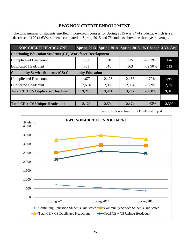## **EWC NON-CREDIT ENROLLMENT**

The total number of students enrolled in non-credit courses for Spring 2015 was 2474 students, which is a a decrease of 120 (4.63%) students compared to Spring 2015 and 75 students above the three-year average.

| <b>NON-CREDIT HEADCOUNT</b>                                     |       | Spring 2013 Spring 2014 Spring 2015 % Change 3 Yr. Avg. |       |            |       |  |  |  |  |  |
|-----------------------------------------------------------------|-------|---------------------------------------------------------|-------|------------|-------|--|--|--|--|--|
| <b>Continuing Education Students (CE) Workforce Development</b> |       |                                                         |       |            |       |  |  |  |  |  |
| <b>Unduplicated Headcount</b>                                   | 562   | 530                                                     | 335   | $-36.79%$  | 476   |  |  |  |  |  |
| <b>Duplicated Headcount</b>                                     | 701   | 541                                                     | 363   | $-32.90\%$ | 535   |  |  |  |  |  |
| <b>Community Service Students (CS) Community Education</b>      |       |                                                         |       |            |       |  |  |  |  |  |
| <b>Unduplicated Headcount</b>                                   | 1,679 | 2,125                                                   | 2,163 | 1.79%      | 1,989 |  |  |  |  |  |
| <b>Duplicated Headcount</b>                                     | 2,514 | 2,930                                                   | 2,904 | $-0.89%$   | 2,783 |  |  |  |  |  |
| <b>Total CE + CS Duplicated Headcount</b>                       | 3,215 | 3,471                                                   | 3,267 | $-5.88\%$  | 3,318 |  |  |  |  |  |
|                                                                 |       |                                                         |       |            |       |  |  |  |  |  |
| Total CE + CS Unique Headcount                                  | 2,129 | 2,594                                                   | 2,474 | $-4.63%$   | 2,399 |  |  |  |  |  |

Source: Colleague Non-Credit Enrollment Report

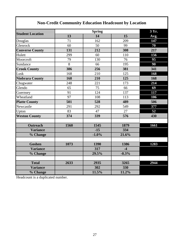| <b>Non-Credit Community Education Headcount by Location</b> |      |                  |         |      |  |  |  |  |  |
|-------------------------------------------------------------|------|------------------|---------|------|--|--|--|--|--|
|                                                             |      | 3 Yr.            |         |      |  |  |  |  |  |
| <b>Student Location</b>                                     | 13   | 14               | 15      | Avg. |  |  |  |  |  |
| Douglas                                                     | 71   | 162              | 209     | 147  |  |  |  |  |  |
| Glenrock                                                    | 60   | 50               | 99      | 70   |  |  |  |  |  |
| <b>Converse County</b>                                      | 131  | 212              | 308     | 217  |  |  |  |  |  |
| Hulett                                                      | 299  | 60               | 110     | 156  |  |  |  |  |  |
| Moorcroft                                                   | 79   | 130              | 76      | 95   |  |  |  |  |  |
| Sundance                                                    | 8    | 66               | 195     | 90   |  |  |  |  |  |
| <b>Crook County</b>                                         | 386  | 256              | 381     | 341  |  |  |  |  |  |
| Lusk                                                        | 168  | 210              | 125     | 168  |  |  |  |  |  |
| <b>Niobrara County</b>                                      | 168  | 210              | 125     | 168  |  |  |  |  |  |
| Chugwater                                                   | 248  | 221              | 173     | 214  |  |  |  |  |  |
| Glendo                                                      | 65   | 75               | 66      | 69   |  |  |  |  |  |
| Guernsey                                                    | 91   | 124              | 137     | 117  |  |  |  |  |  |
| Wheatland                                                   | 97   | 108              | 113     | 106  |  |  |  |  |  |
| <b>Platte County</b>                                        | 501  | 528              | 489     | 506  |  |  |  |  |  |
| Newcastle                                                   | 291  | 292              | 549     | 377  |  |  |  |  |  |
| Upton                                                       | 83   | 47               | 27      | 52   |  |  |  |  |  |
| <b>Weston County</b>                                        | 374  | 339              | 576     | 430  |  |  |  |  |  |
| <b>Outreach</b>                                             | 1560 | 1545             | 1879    | 1661 |  |  |  |  |  |
| <b>Variance</b>                                             |      | $-15$            | 334     |      |  |  |  |  |  |
| % Change                                                    |      | $-1.0%$          | 21.6%   |      |  |  |  |  |  |
|                                                             |      |                  |         |      |  |  |  |  |  |
| Goshen                                                      | 1073 | 1390             | 1386    | 1283 |  |  |  |  |  |
| <b>Variance</b>                                             |      | 317              | $-4$    |      |  |  |  |  |  |
| % Change                                                    |      | 29.5%            | $-0.3%$ |      |  |  |  |  |  |
| <b>Total</b>                                                | 2633 | 2935             | 3265    | 2944 |  |  |  |  |  |
| <b>Variance</b>                                             |      | $\overline{302}$ | 330     |      |  |  |  |  |  |
| % Change                                                    |      | 11.5%            | 11.2%   |      |  |  |  |  |  |

Headcount is a duplicated number.

 $\mathbf I$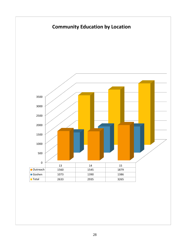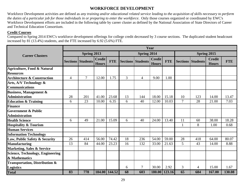## **WORKFORCE DEVELOPMENT**

Workforce Development activities are defined as *any training and/or educational related service leading to the acquisition of skills necessary to perform the duties of a particular job for those individuals in or preparing to enter the workforce*. Only those courses organized or coordinated by EWC's Workforce Development efforts are included in the following table by career cluster as defined by the National Association of State Directors of Career and Technical Education Consortium.

### **Credit Courses**

Compared to Spring 2014 EWC's workforce development offerings for college credit decreased by 3 course sections. The duplicated student headcount increased by 81 (13.4%) students, and the FTE increased by 6.92 (5.6%) FTE.

|                                                            |                | Year                     |                               |               |    |                          |                               |            |                |                          |                               |            |  |
|------------------------------------------------------------|----------------|--------------------------|-------------------------------|---------------|----|--------------------------|-------------------------------|------------|----------------|--------------------------|-------------------------------|------------|--|
| <b>Career Clusters</b>                                     | Spring 2013    |                          |                               |               |    | Spring 2014              |                               |            | Spring 2015    |                          |                               |            |  |
|                                                            |                | <b>Sections Students</b> | <b>Credit</b><br><b>Hours</b> | <b>FTE</b>    |    | <b>Sections Students</b> | <b>Credit</b><br><b>Hours</b> | <b>FTE</b> |                | <b>Sections Students</b> | <b>Credit</b><br><b>Hours</b> | <b>FTE</b> |  |
| <b>Agriculture, Food &amp; Natural</b><br><b>Resources</b> |                |                          |                               |               |    |                          |                               |            |                |                          |                               |            |  |
| <b>Architecture &amp; Construction</b>                     | $\overline{4}$ | $\overline{7}$           | 12.00                         | 1.75          | 3  | $\overline{4}$           | 9.00                          | 1.00       |                |                          |                               |            |  |
| Arts, A/V Technology &<br><b>Communications</b>            |                |                          |                               |               |    |                          |                               |            |                |                          |                               |            |  |
| <b>Business, Management &amp;</b>                          |                |                          |                               |               |    |                          |                               |            |                |                          |                               |            |  |
| <b>Administration</b>                                      | 28             | 201                      | 41.00                         | 23.68         | 13 | 144                      | 18.00                         | 15.18      | 10             | 123                      | 14.00                         | 13.47      |  |
| <b>Education &amp; Training</b>                            | 6              | 23                       | 10.00                         | 6.35          | 6  | 40                       | 12.00                         | 10.03      | 7              | 28                       | 21.00                         | 7.03       |  |
| <b>Finance</b>                                             |                |                          |                               |               |    |                          |                               |            |                |                          |                               |            |  |
| <b>Government &amp; Public</b>                             |                |                          |                               |               |    |                          |                               |            |                |                          |                               |            |  |
| <b>Administration</b>                                      |                |                          |                               |               |    |                          |                               |            |                |                          |                               |            |  |
| <b>Health Science</b>                                      | 6              | 49                       | 21.00                         | 15.09         | 6  | 40                       | 24.00                         | 13.40      | 11             | 60                       | 38.00                         | 18.28      |  |
| <b>Hospitality &amp; Tourism</b>                           |                |                          |                               |               |    |                          |                               |            |                | 8                        | 1.00                          | 0.68       |  |
| <b>Human Services</b>                                      |                |                          |                               |               |    |                          |                               |            |                |                          |                               |            |  |
| <b>Information Technology</b>                              |                |                          |                               |               |    |                          |                               |            |                |                          |                               |            |  |
| Law, Public Safety & Security                              | 26             | 414                      | 56.00                         | 74.42         | 18 | 236                      | 54.00                         | 59.00      | 28             | 418                      | 64.00                         | 80.07      |  |
| <b>Manufacturing</b>                                       | 13             | 84                       | 44.00                         | 23.23         | 16 | 132                      | 33.00                         | 21.63      | 5              | 43                       | 14.00                         | 8.88       |  |
| <b>Marketing, Sales &amp; Service</b>                      |                |                          |                               |               |    |                          |                               |            |                |                          |                               |            |  |
| <b>Science, Technology, Engineering</b>                    |                |                          |                               |               |    |                          |                               |            |                |                          |                               |            |  |
| & Mathematics                                              |                |                          |                               |               |    |                          |                               |            |                |                          |                               |            |  |
| <b>Transportation, Distribution &amp;</b>                  |                |                          |                               |               |    |                          |                               |            |                |                          |                               |            |  |
| Logistics                                                  |                |                          |                               |               | 6  | 7                        | 30.00                         | 2.92       | $\mathfrak{Z}$ | 4                        | 15.00                         | 1.67       |  |
| <b>Total</b>                                               | 83             | 778                      |                               | 184.00 144.52 | 68 | 603                      | 180.00                        | 123.16     | 65             | 684                      | 167.00                        | 130.08     |  |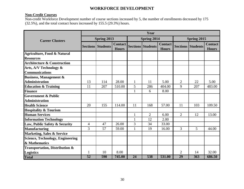## **WORKFORCE DEVELOPMENT**

## **Non-Credit Courses**

Non-credit Workforce Development number of course sections increased by 5, the number of enrollments decreased by 175 (32.5%), and the total contact hours increased by 155.5 (29.3%) hours.

|                                                            | Year            |                          |                                |                 |                          |                                |                 |                 |                                |  |  |  |  |
|------------------------------------------------------------|-----------------|--------------------------|--------------------------------|-----------------|--------------------------|--------------------------------|-----------------|-----------------|--------------------------------|--|--|--|--|
| <b>Career Clusters</b>                                     |                 | Spring 2013              |                                |                 | Spring 2014              |                                | Spring 2015     |                 |                                |  |  |  |  |
|                                                            |                 | <b>Sections Students</b> | <b>Contact</b><br><b>Hours</b> |                 | <b>Sections Students</b> | <b>Contact</b><br><b>Hours</b> | <b>Sections</b> | <b>Students</b> | <b>Contact</b><br><b>Hours</b> |  |  |  |  |
| <b>Agriculture, Food &amp; Natural</b><br><b>Resources</b> |                 |                          |                                |                 |                          |                                |                 |                 |                                |  |  |  |  |
| <b>Architecture &amp; Construction</b>                     |                 |                          |                                |                 |                          |                                |                 |                 |                                |  |  |  |  |
| Arts, A/V Technology &                                     |                 |                          |                                |                 |                          |                                |                 |                 |                                |  |  |  |  |
| <b>Communications</b>                                      |                 |                          |                                |                 |                          |                                |                 |                 |                                |  |  |  |  |
|                                                            |                 |                          |                                |                 |                          |                                |                 |                 |                                |  |  |  |  |
| <b>Business, Management &amp;</b>                          |                 |                          |                                |                 |                          |                                |                 |                 | 5.00                           |  |  |  |  |
| <b>Administration</b>                                      | 13              | 114                      | 28.00                          | 1               | 11                       | 5.00                           | $\overline{2}$  | 22              |                                |  |  |  |  |
| <b>Education &amp; Training</b>                            | 11              | 207                      | 510.00                         | 5               | 286                      | 404.00                         | 9               | 207             | 483.00                         |  |  |  |  |
| <b>Finance</b>                                             |                 |                          |                                |                 | 6                        | 8.00                           |                 |                 |                                |  |  |  |  |
| <b>Government &amp; Public</b>                             |                 |                          |                                |                 |                          |                                |                 |                 |                                |  |  |  |  |
| <b>Administration</b>                                      |                 |                          |                                |                 |                          |                                |                 |                 |                                |  |  |  |  |
| <b>Health Science</b>                                      | 20              | 155                      | 114.00                         | 11              | 168                      | 57.00                          | 11              | 103             | 109.50                         |  |  |  |  |
| <b>Hospitality &amp; Tourism</b>                           |                 |                          |                                |                 |                          |                                |                 |                 |                                |  |  |  |  |
| <b>Human Services</b>                                      |                 |                          |                                | $\mathbf{1}$    | $\overline{2}$           | 6.00                           | $\overline{2}$  | 12              | 13.00                          |  |  |  |  |
| <b>Information Technology</b>                              |                 |                          |                                | $\mathbf{1}$    | 12                       | 2.00                           |                 |                 |                                |  |  |  |  |
| Law, Public Safety & Security                              | 4               | 47                       | 26.00                          | 3               | 34                       | 33.00                          |                 |                 |                                |  |  |  |  |
| <b>Manufacturing</b>                                       | 3               | 57                       | 59.00                          | 1               | 19                       | 16.00                          | 3               | 5               | 44.00                          |  |  |  |  |
| <b>Marketing, Sales &amp; Service</b>                      |                 |                          |                                |                 |                          |                                |                 |                 |                                |  |  |  |  |
| Science, Technology, Engineering                           |                 |                          |                                |                 |                          |                                |                 |                 |                                |  |  |  |  |
| & Mathematics                                              |                 |                          |                                |                 |                          |                                |                 |                 |                                |  |  |  |  |
| <b>Transportation, Distribution &amp;</b>                  |                 |                          |                                |                 |                          |                                |                 |                 |                                |  |  |  |  |
| <b>Logistics</b>                                           |                 | 10                       | 8.00                           |                 |                          |                                | $\overline{2}$  | 14              | 32.00                          |  |  |  |  |
| <b>Total</b>                                               | $\overline{52}$ | 590                      | 745.00                         | $\overline{24}$ | 538                      | 531.00                         | 29              | 363             | 686.50                         |  |  |  |  |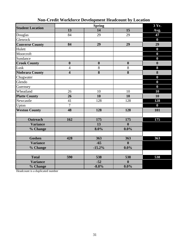| <b>Student Location</b> |                  | 3 Yr.            |                  |                  |
|-------------------------|------------------|------------------|------------------|------------------|
|                         | 13               | 14               | 15               | Avg.             |
| Douglas                 | 84               | 29               | 29               | 47               |
| Glenrock                |                  |                  |                  | $\bf{0}$         |
| <b>Converse County</b>  | 84               | 29               | 29               | 29               |
| Hulett                  |                  |                  |                  | $\boldsymbol{0}$ |
| Moorcroft               |                  |                  |                  | $\bf{0}$         |
| Sundance                |                  |                  |                  | $\boldsymbol{0}$ |
| <b>Crook County</b>     | $\boldsymbol{0}$ | $\boldsymbol{0}$ | $\boldsymbol{0}$ | $\boldsymbol{0}$ |
| Lusk                    | $\overline{4}$   | 8                | 8                | 8                |
| Niobrara County         | $\overline{4}$   | 8                | 8                | 8                |
| Chugwater               |                  |                  |                  | $\bf{0}$         |
| Glendo                  |                  |                  |                  | $\boldsymbol{0}$ |
| Guernsey                |                  |                  |                  | $\boldsymbol{0}$ |
| Wheatland               | 26               | 10               | 10               | 10               |
| <b>Platte County</b>    | 26               | 10               | 10               | 10               |
| Newcastle               | 41               | 128              | 128              | 128              |
| Upton                   | $\overline{7}$   |                  |                  | $\bf{0}$         |
| <b>Weston County</b>    | 48               | 128              | 128              | 101              |
|                         |                  |                  |                  |                  |
| <b>Outreach</b>         | 162              | 175              | 175              | 175              |
| <b>Variance</b>         |                  | 13               | $\mathbf{0}$     |                  |
| % Change                |                  | 8.0%             | $0.0\%$          |                  |
|                         |                  |                  |                  |                  |
| <b>Goshen</b>           | 428              | 363              | 363              | 363              |
| <b>Variance</b>         |                  | $-65$            | $\mathbf{0}$     |                  |
| % Change                |                  | $-15.2%$         | $0.0\%$          |                  |
|                         |                  |                  |                  |                  |
| <b>Total</b>            | 590              | 538              | 538              | 538              |
| <b>Variance</b>         |                  | $-52$            | $\boldsymbol{0}$ |                  |
| % Change                |                  | $-8.8%$          | $0.0\%$          |                  |

# **Non-Credit Workforce Development Headcount by Location**

Headcount is a duplicated number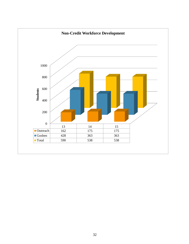